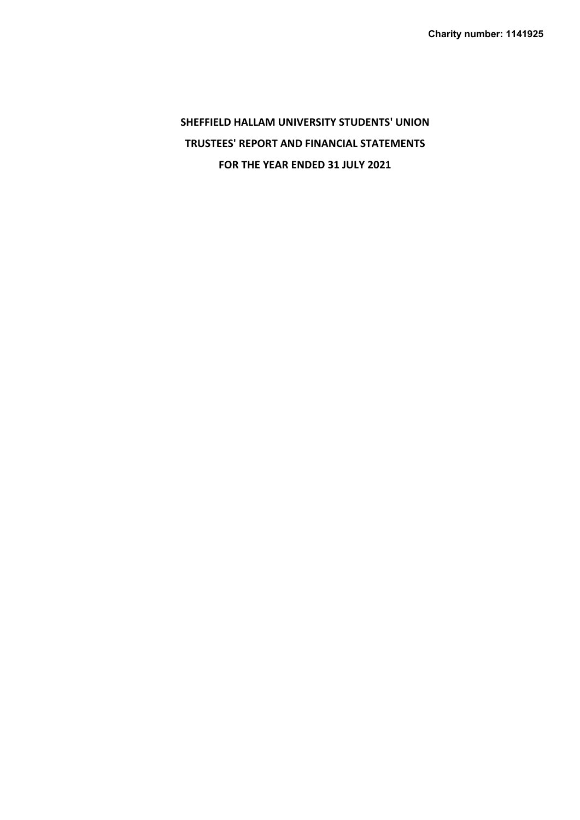**SHEFFIELD HALLAM UNIVERSITY STUDENTS' UNION TRUSTEES' REPORT AND FINANCIAL STATEMENTS FOR THE YEAR ENDED 31 JULY 2021**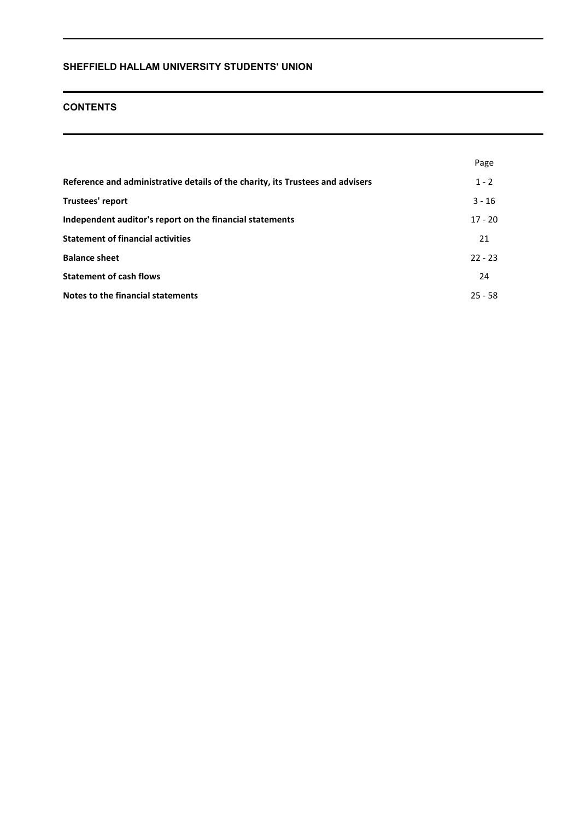# **CONTENTS**

|                                                                                | Page      |
|--------------------------------------------------------------------------------|-----------|
| Reference and administrative details of the charity, its Trustees and advisers | $1 - 2$   |
| Trustees' report                                                               | $3 - 16$  |
| Independent auditor's report on the financial statements                       | $17 - 20$ |
| <b>Statement of financial activities</b>                                       | 21        |
| <b>Balance sheet</b>                                                           | $22 - 23$ |
| <b>Statement of cash flows</b>                                                 | 24        |
| Notes to the financial statements                                              | $25 - 58$ |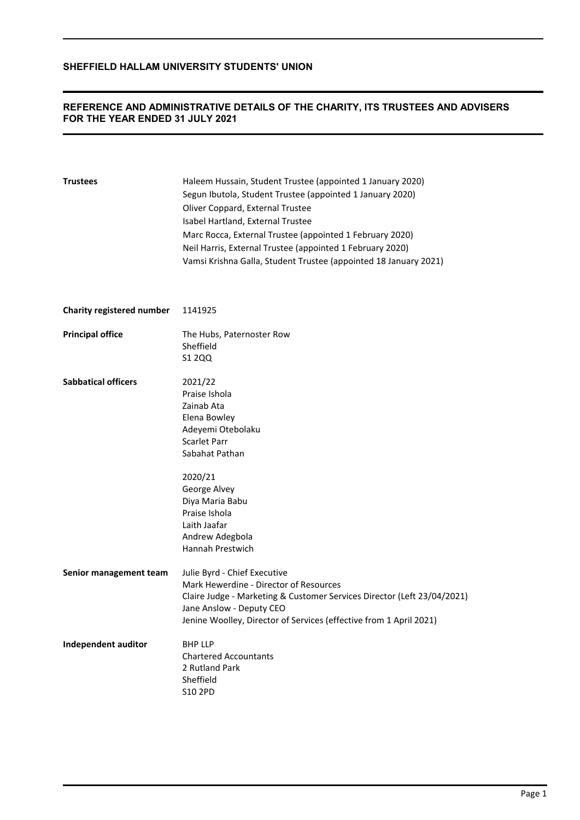## **REFERENCE AND ADMINISTRATIVE DETAILS OF THE CHARITY, ITS TRUSTEES AND ADVISERS FOR THE YEAR ENDED 31 JULY 2021**

| <b>Trustees</b>            | Haleem Hussain, Student Trustee (appointed 1 January 2020)<br>Segun Ibutola, Student Trustee (appointed 1 January 2020)<br>Oliver Coppard, External Trustee<br>Isabel Hartland, External Trustee<br>Marc Rocca, External Trustee (appointed 1 February 2020)<br>Neil Harris, External Trustee (appointed 1 February 2020)<br>Vamsi Krishna Galla, Student Trustee (appointed 18 January 2021) |
|----------------------------|-----------------------------------------------------------------------------------------------------------------------------------------------------------------------------------------------------------------------------------------------------------------------------------------------------------------------------------------------------------------------------------------------|
| Charity registered number  | 1141925                                                                                                                                                                                                                                                                                                                                                                                       |
| <b>Principal office</b>    | The Hubs, Paternoster Row<br>Sheffield<br>S1 2QQ                                                                                                                                                                                                                                                                                                                                              |
| <b>Sabbatical officers</b> | 2021/22<br>Praise Ishola<br>Zainab Ata<br>Elena Bowley<br>Adeyemi Otebolaku<br>Scarlet Parr<br>Sabahat Pathan<br>2020/21<br>George Alvey<br>Diya Maria Babu<br>Praise Ishola<br>Laith Jaafar<br>Andrew Adegbola<br>Hannah Prestwich                                                                                                                                                           |
| Senior management team     | Julie Byrd - Chief Executive<br>Mark Hewerdine - Director of Resources<br>Claire Judge - Marketing & Customer Services Director (Left 23/04/2021)<br>Jane Anslow - Deputy CEO<br>Jenine Woolley, Director of Services (effective from 1 April 2021)                                                                                                                                           |
| <b>Independent auditor</b> | <b>BHP LLP</b><br><b>Chartered Accountants</b><br>2 Rutland Park<br>Sheffield<br>S10 2PD                                                                                                                                                                                                                                                                                                      |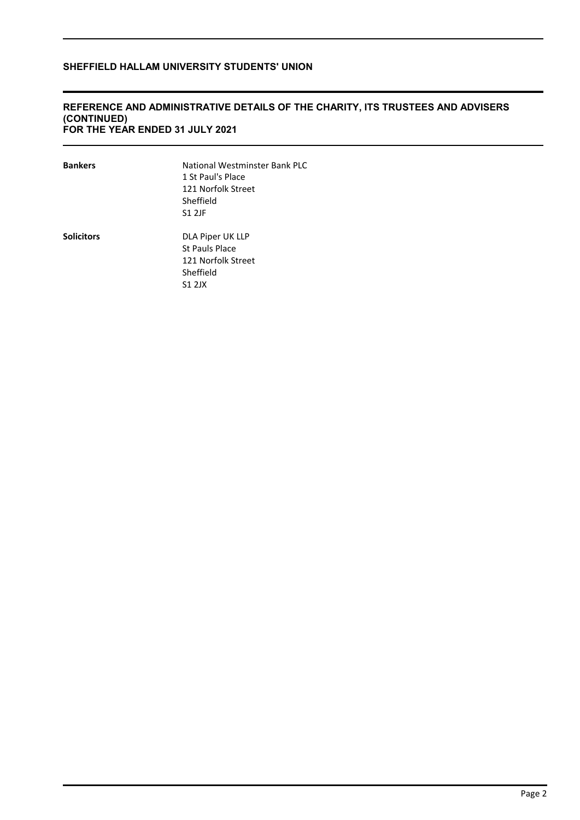## **REFERENCE AND ADMINISTRATIVE DETAILS OF THE CHARITY, ITS TRUSTEES AND ADVISERS (CONTINUED) FOR THE YEAR ENDED 31 JULY 2021**

| <b>Bankers</b> | National Westminster Bank PLC<br>1 St Paul's Place<br>121 Norfolk Street<br>Sheffield<br><b>S1 2JF</b> |
|----------------|--------------------------------------------------------------------------------------------------------|
| Solicitors     | DLA Piper UK LLP<br>St Pauls Place<br>121 Norfolk Street<br>Sheffield<br>S1 2JX                        |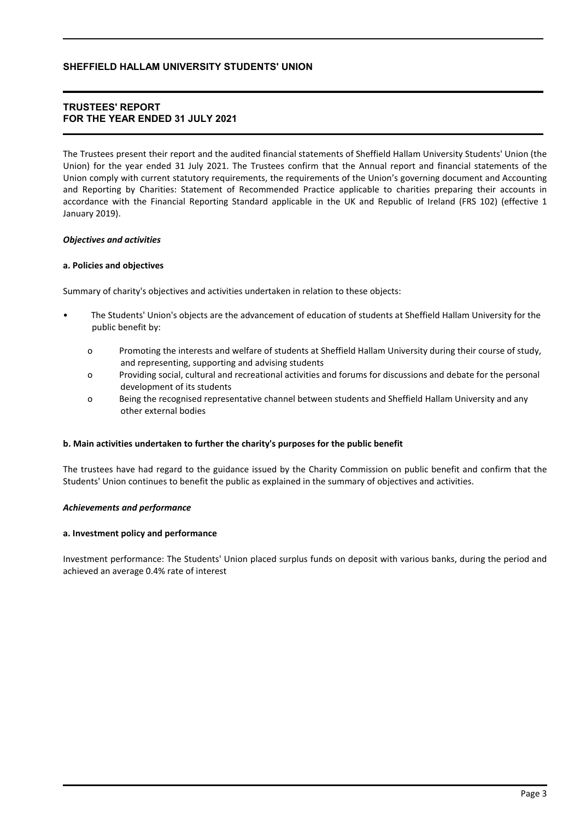## **TRUSTEES' REPORT FOR THE YEAR ENDED 31 JULY 2021**

The Trustees present their report and the audited financial statements of Sheffield Hallam University Students' Union (the Union) for the year ended 31 July 2021. The Trustees confirm that the Annual report and financial statements of the Union comply with current statutory requirements, the requirements of the Union's governing document and Accounting and Reporting by Charities: Statement of Recommended Practice applicable to charities preparing their accounts in accordance with the Financial Reporting Standard applicable in the UK and Republic of Ireland (FRS 102) (effective 1 January 2019).

### *Objectives and activities*

### **a. Policies and objectives**

Summary of charity's objectives and activities undertaken in relation to these objects:

- The Students' Union's objects are the advancement of education of students at Sheffield Hallam University for the public benefit by:
	- o Promoting the interests and welfare of students at Sheffield Hallam University during their course of study, and representing, supporting and advising students
	- o Providing social, cultural and recreational activities and forums for discussions and debate for the personal development of its students
	- o Being the recognised representative channel between students and Sheffield Hallam University and any other external bodies

### **b. Main activities undertaken to further the charity's purposes for the public benefit**

The trustees have had regard to the guidance issued by the Charity Commission on public benefit and confirm that the Students' Union continues to benefit the public as explained in the summary of objectives and activities.

### *Achievements and performance*

### **a. Investment policy and performance**

Investment performance: The Students' Union placed surplus funds on deposit with various banks, during the period and achieved an average 0.4% rate of interest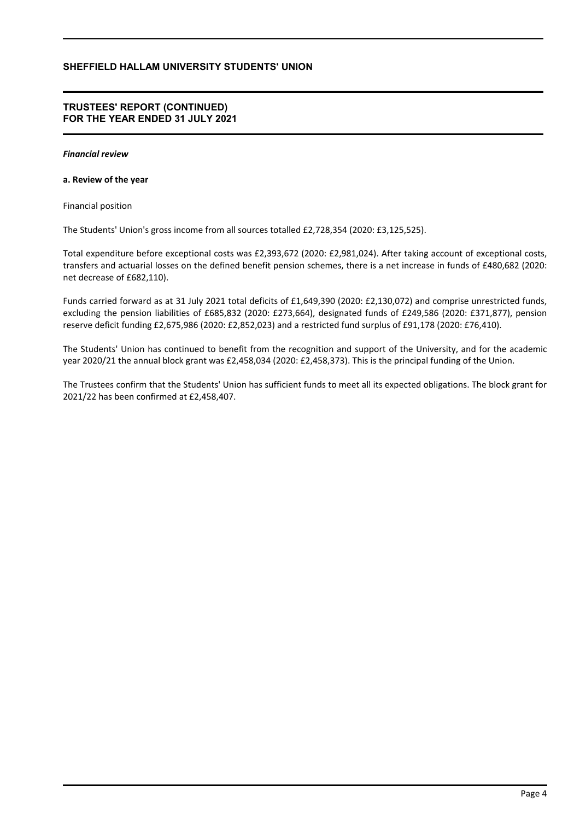### **TRUSTEES' REPORT (CONTINUED) FOR THE YEAR ENDED 31 JULY 2021**

#### *Financial review*

### **a. Review of the year**

### Financial position

The Students' Union's gross income from all sources totalled £2,728,354 (2020: £3,125,525).

Total expenditure before exceptional costs was £2,393,672 (2020: £2,981,024). After taking account of exceptional costs, transfers and actuarial losses on the defined benefit pension schemes, there is a net increase in funds of £480,682 (2020: net decrease of £682,110).

Funds carried forward as at 31 July 2021 total deficits of £1,649,390 (2020: £2,130,072) and comprise unrestricted funds, excluding the pension liabilities of £685,832 (2020: £273,664), designated funds of £249,586 (2020: £371,877), pension reserve deficit funding £2,675,986 (2020: £2,852,023) and a restricted fund surplus of £91,178 (2020: £76,410).

The Students' Union has continued to benefit from the recognition and support of the University, and for the academic year 2020/21 the annual block grant was £2,458,034 (2020: £2,458,373). This is the principal funding of the Union.

The Trustees confirm that the Students' Union has sufficient funds to meet all its expected obligations. The block grant for 2021/22 has been confirmed at £2,458,407.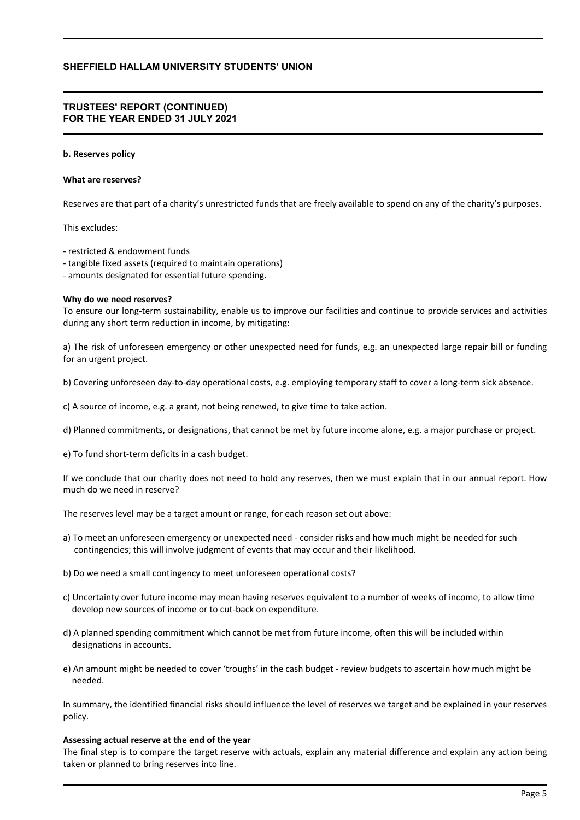### **TRUSTEES' REPORT (CONTINUED) FOR THE YEAR ENDED 31 JULY 2021**

#### **b. Reserves policy**

#### **What are reserves?**

Reserves are that part of a charity's unrestricted funds that are freely available to spend on any of the charity's purposes.

This excludes:

- restricted & endowment funds
- tangible fixed assets (required to maintain operations)
- amounts designated for essential future spending.

#### **Why do we need reserves?**

To ensure our long-term sustainability, enable us to improve our facilities and continue to provide services and activities during any short term reduction in income, by mitigating:

a) The risk of unforeseen emergency or other unexpected need for funds, e.g. an unexpected large repair bill or funding for an urgent project.

b) Covering unforeseen day-to-day operational costs, e.g. employing temporary staff to cover a long-term sick absence.

- c) A source of income, e.g. a grant, not being renewed, to give time to take action.
- d) Planned commitments, or designations, that cannot be met by future income alone, e.g. a major purchase or project.

e) To fund short-term deficits in a cash budget.

If we conclude that our charity does not need to hold any reserves, then we must explain that in our annual report. How much do we need in reserve?

The reserves level may be a target amount or range, for each reason set out above:

- a) To meet an unforeseen emergency or unexpected need consider risks and how much might be needed for such contingencies; this will involve judgment of events that may occur and their likelihood.
- b) Do we need a small contingency to meet unforeseen operational costs?
- c) Uncertainty over future income may mean having reserves equivalent to a number of weeks of income, to allow time develop new sources of income or to cut-back on expenditure.
- d) A planned spending commitment which cannot be met from future income, often this will be included within designations in accounts.
- e) An amount might be needed to cover 'troughs' in the cash budget review budgets to ascertain how much might be needed.

In summary, the identified financial risks should influence the level of reserves we target and be explained in your reserves policy.

#### **Assessing actual reserve at the end of the year**

The final step is to compare the target reserve with actuals, explain any material difference and explain any action being taken or planned to bring reserves into line.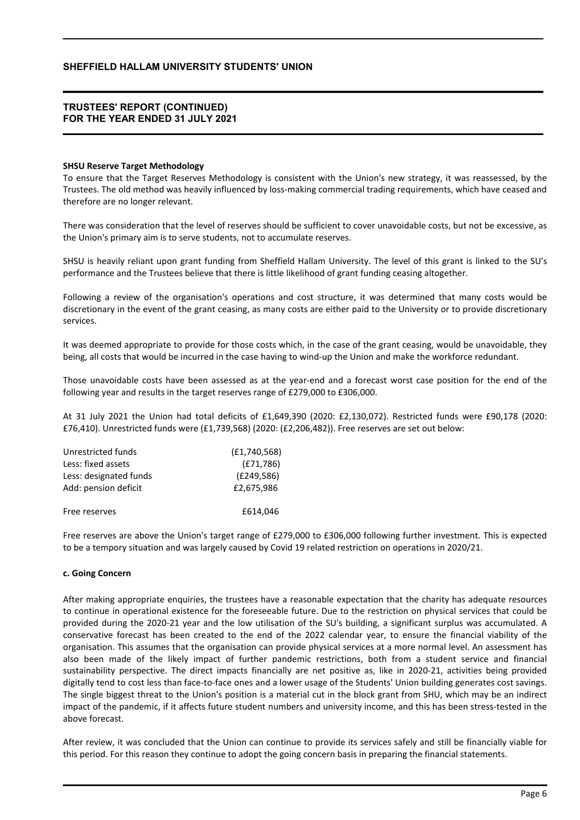### **TRUSTEES' REPORT (CONTINUED) FOR THE YEAR ENDED 31 JULY 2021**

### **SHSU Reserve Target Methodology**

To ensure that the Target Reserves Methodology is consistent with the Union's new strategy, it was reassessed, by the Trustees. The old method was heavily influenced by loss-making commercial trading requirements, which have ceased and therefore are no longer relevant.

There was consideration that the level of reserves should be sufficient to cover unavoidable costs, but not be excessive, as the Union's primary aim is to serve students, not to accumulate reserves.

SHSU is heavily reliant upon grant funding from Sheffield Hallam University. The level of this grant is linked to the SU's performance and the Trustees believe that there is little likelihood of grant funding ceasing altogether.

Following a review of the organisation's operations and cost structure, it was determined that many costs would be discretionary in the event of the grant ceasing, as many costs are either paid to the University or to provide discretionary services.

It was deemed appropriate to provide for those costs which, in the case of the grant ceasing, would be unavoidable, they being, all costs that would be incurred in the case having to wind-up the Union and make the workforce redundant.

Those unavoidable costs have been assessed as at the year-end and a forecast worst case position for the end of the following year and results in the target reserves range of £279,000 to £306,000.

At 31 July 2021 the Union had total deficits of £1,649,390 (2020: £2,130,072). Restricted funds were £90,178 (2020: £76,410). Unrestricted funds were (£1,739,568) (2020: (£2,206,482)). Free reserves are set out below:

| Unrestricted funds     | (E1,740,568) |
|------------------------|--------------|
| Less: fixed assets     | (E71,786)    |
| Less: designated funds | (E249,586)   |
| Add: pension deficit   | £2,675,986   |
| Free reserves          | £614,046     |

Free reserves are above the Union's target range of £279,000 to £306,000 following further investment. This is expected to be a tempory situation and was largely caused by Covid 19 related restriction on operations in 2020/21.

### **c. Going Concern**

After making appropriate enquiries, the trustees have a reasonable expectation that the charity has adequate resources to continue in operational existence for the foreseeable future. Due to the restriction on physical services that could be provided during the 2020-21 year and the low utilisation of the SU's building, a significant surplus was accumulated. A conservative forecast has been created to the end of the 2022 calendar year, to ensure the financial viability of the organisation. This assumes that the organisation can provide physical services at a more normal level. An assessment has also been made of the likely impact of further pandemic restrictions, both from a student service and financial sustainability perspective. The direct impacts financially are net positive as, like in 2020-21, activities being provided digitally tend to cost less than face-to-face ones and a lower usage of the Students' Union building generates cost savings. The single biggest threat to the Union's position is a material cut in the block grant from SHU, which may be an indirect impact of the pandemic, if it affects future student numbers and university income, and this has been stress-tested in the above forecast.

After review, it was concluded that the Union can continue to provide its services safely and still be financially viable for this period. For this reason they continue to adopt the going concern basis in preparing the financial statements.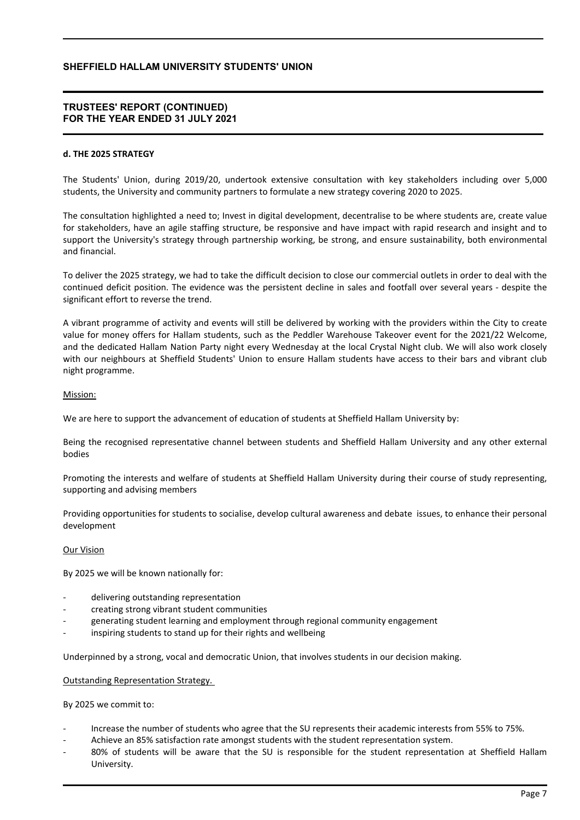### **TRUSTEES' REPORT (CONTINUED) FOR THE YEAR ENDED 31 JULY 2021**

### **d. THE 2025 STRATEGY**

The Students' Union, during 2019/20, undertook extensive consultation with key stakeholders including over 5,000 students, the University and community partners to formulate a new strategy covering 2020 to 2025.

The consultation highlighted a need to; Invest in digital development, decentralise to be where students are, create value for stakeholders, have an agile staffing structure, be responsive and have impact with rapid research and insight and to support the University's strategy through partnership working, be strong, and ensure sustainability, both environmental and financial.

To deliver the 2025 strategy, we had to take the difficult decision to close our commercial outlets in order to deal with the continued deficit position. The evidence was the persistent decline in sales and footfall over several years - despite the significant effort to reverse the trend.

A vibrant programme of activity and events will still be delivered by working with the providers within the City to create value for money offers for Hallam students, such as the Peddler Warehouse Takeover event for the 2021/22 Welcome, and the dedicated Hallam Nation Party night every Wednesday at the local Crystal Night club. We will also work closely with our neighbours at Sheffield Students' Union to ensure Hallam students have access to their bars and vibrant club night programme.

### Mission:

We are here to support the advancement of education of students at Sheffield Hallam University by:

Being the recognised representative channel between students and Sheffield Hallam University and any other external bodies

Promoting the interests and welfare of students at Sheffield Hallam University during their course of study representing, supporting and advising members

Providing opportunities for students to socialise, develop cultural awareness and debate issues, to enhance their personal development

### Our Vision

By 2025 we will be known nationally for:

- delivering outstanding representation
- creating strong vibrant student communities
- generating student learning and employment through regional community engagement
- inspiring students to stand up for their rights and wellbeing

Underpinned by a strong, vocal and democratic Union, that involves students in our decision making.

#### Outstanding Representation Strategy.

By 2025 we commit to:

- Increase the number of students who agree that the SU represents their academic interests from 55% to 75%.
- Achieve an 85% satisfaction rate amongst students with the student representation system.
- 80% of students will be aware that the SU is responsible for the student representation at Sheffield Hallam University.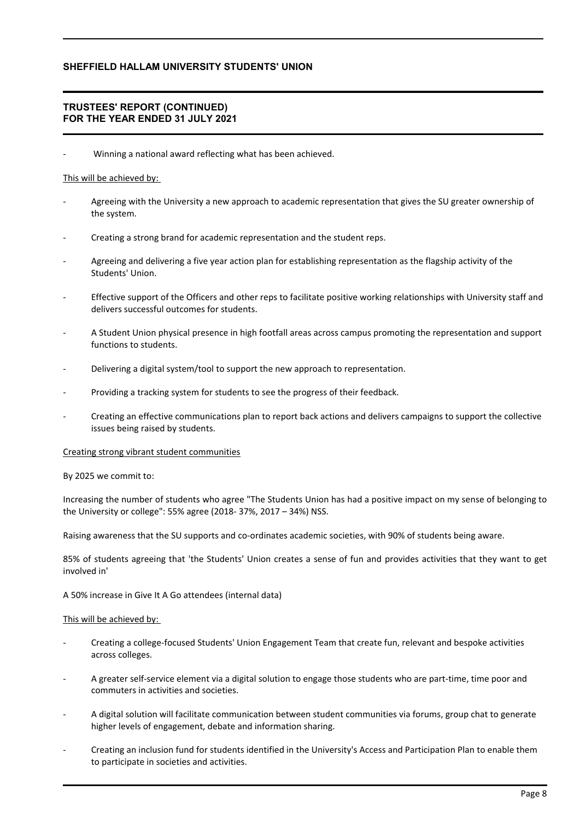## **TRUSTEES' REPORT (CONTINUED) FOR THE YEAR ENDED 31 JULY 2021**

Winning a national award reflecting what has been achieved.

### This will be achieved by:

- Agreeing with the University a new approach to academic representation that gives the SU greater ownership of the system.
- Creating a strong brand for academic representation and the student reps.
- Agreeing and delivering a five year action plan for establishing representation as the flagship activity of the Students' Union.
- Effective support of the Officers and other reps to facilitate positive working relationships with University staff and delivers successful outcomes for students.
- A Student Union physical presence in high footfall areas across campus promoting the representation and support functions to students.
- Delivering a digital system/tool to support the new approach to representation.
- Providing a tracking system for students to see the progress of their feedback.
- Creating an effective communications plan to report back actions and delivers campaigns to support the collective issues being raised by students.

#### Creating strong vibrant student communities

#### By 2025 we commit to:

Increasing the number of students who agree "The Students Union has had a positive impact on my sense of belonging to the University or college": 55% agree (2018- 37%, 2017 – 34%) NSS.

Raising awareness that the SU supports and co-ordinates academic societies, with 90% of students being aware.

85% of students agreeing that 'the Students' Union creates a sense of fun and provides activities that they want to get involved in'

A 50% increase in Give It A Go attendees (internal data)

### This will be achieved by:

- Creating a college-focused Students' Union Engagement Team that create fun, relevant and bespoke activities across colleges.
- A greater self-service element via a digital solution to engage those students who are part-time, time poor and commuters in activities and societies.
- A digital solution will facilitate communication between student communities via forums, group chat to generate higher levels of engagement, debate and information sharing.
- Creating an inclusion fund for students identified in the University's Access and Participation Plan to enable them to participate in societies and activities.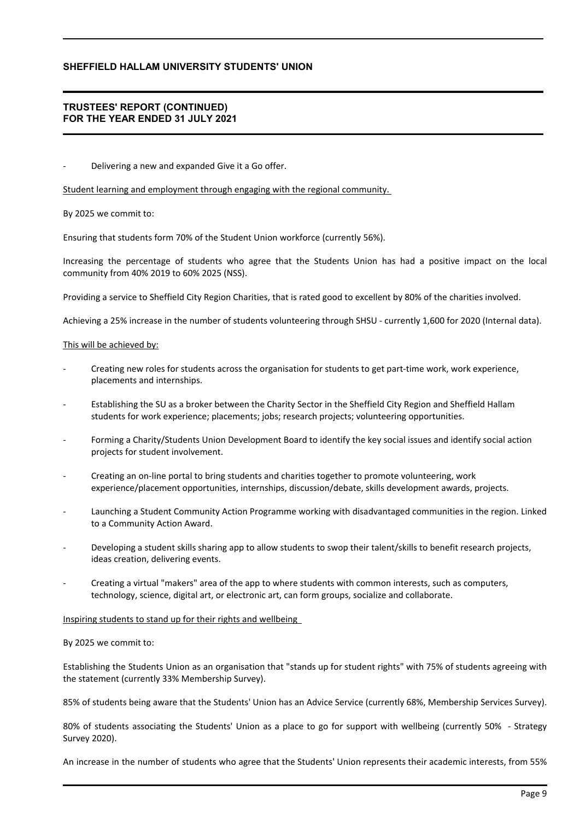## **TRUSTEES' REPORT (CONTINUED) FOR THE YEAR ENDED 31 JULY 2021**

Delivering a new and expanded Give it a Go offer.

Student learning and employment through engaging with the regional community.

By 2025 we commit to:

Ensuring that students form 70% of the Student Union workforce (currently 56%).

Increasing the percentage of students who agree that the Students Union has had a positive impact on the local community from 40% 2019 to 60% 2025 (NSS).

Providing a service to Sheffield City Region Charities, that is rated good to excellent by 80% of the charities involved.

Achieving a 25% increase in the number of students volunteering through SHSU - currently 1,600 for 2020 (Internal data).

### This will be achieved by:

- Creating new roles for students across the organisation for students to get part-time work, work experience, placements and internships.
- Establishing the SU as a broker between the Charity Sector in the Sheffield City Region and Sheffield Hallam students for work experience; placements; jobs; research projects; volunteering opportunities.
- Forming a Charity/Students Union Development Board to identify the key social issues and identify social action projects for student involvement.
- Creating an on-line portal to bring students and charities together to promote volunteering, work experience/placement opportunities, internships, discussion/debate, skills development awards, projects.
- Launching a Student Community Action Programme working with disadvantaged communities in the region. Linked to a Community Action Award.
- Developing a student skills sharing app to allow students to swop their talent/skills to benefit research projects, ideas creation, delivering events.
- Creating a virtual "makers" area of the app to where students with common interests, such as computers, technology, science, digital art, or electronic art, can form groups, socialize and collaborate.

#### Inspiring students to stand up for their rights and wellbeing

#### By 2025 we commit to:

Establishing the Students Union as an organisation that "stands up for student rights" with 75% of students agreeing with the statement (currently 33% Membership Survey).

85% of students being aware that the Students' Union has an Advice Service (currently 68%, Membership Services Survey).

80% of students associating the Students' Union as a place to go for support with wellbeing (currently 50% - Strategy Survey 2020).

An increase in the number of students who agree that the Students' Union represents their academic interests, from 55%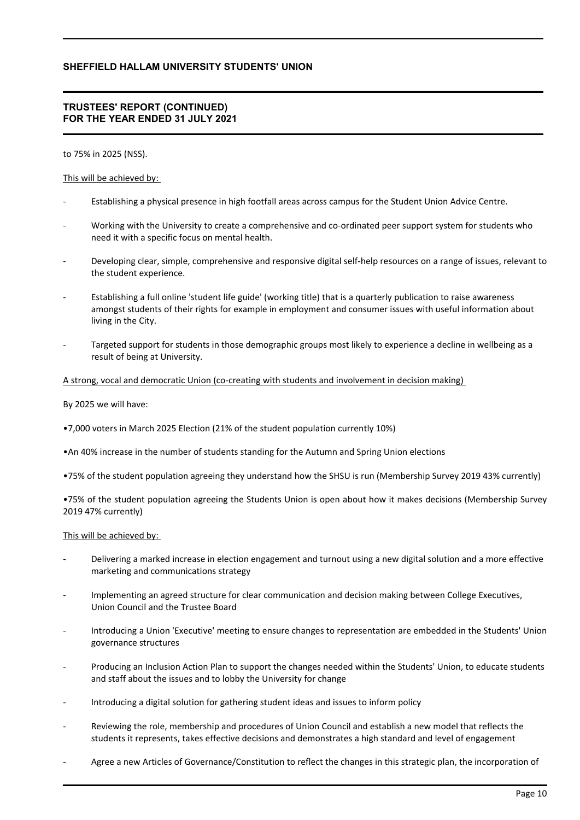## **TRUSTEES' REPORT (CONTINUED) FOR THE YEAR ENDED 31 JULY 2021**

### to 75% in 2025 (NSS).

### This will be achieved by:

- Establishing a physical presence in high footfall areas across campus for the Student Union Advice Centre.
- Working with the University to create a comprehensive and co-ordinated peer support system for students who need it with a specific focus on mental health.
- Developing clear, simple, comprehensive and responsive digital self-help resources on a range of issues, relevant to the student experience.
- Establishing a full online 'student life guide' (working title) that is a quarterly publication to raise awareness amongst students of their rights for example in employment and consumer issues with useful information about living in the City.
- Targeted support for students in those demographic groups most likely to experience a decline in wellbeing as a result of being at University.

### A strong, vocal and democratic Union (co-creating with students and involvement in decision making)

By 2025 we will have:

- •7,000 voters in March 2025 Election (21% of the student population currently 10%)
- •An 40% increase in the number of students standing for the Autumn and Spring Union elections
- •75% of the student population agreeing they understand how the SHSU is run (Membership Survey 2019 43% currently)

•75% of the student population agreeing the Students Union is open about how it makes decisions (Membership Survey 2019 47% currently)

### This will be achieved by:

- Delivering a marked increase in election engagement and turnout using a new digital solution and a more effective marketing and communications strategy
- Implementing an agreed structure for clear communication and decision making between College Executives, Union Council and the Trustee Board
- Introducing a Union 'Executive' meeting to ensure changes to representation are embedded in the Students' Union governance structures
- Producing an Inclusion Action Plan to support the changes needed within the Students' Union, to educate students and staff about the issues and to lobby the University for change
- Introducing a digital solution for gathering student ideas and issues to inform policy
- Reviewing the role, membership and procedures of Union Council and establish a new model that reflects the students it represents, takes effective decisions and demonstrates a high standard and level of engagement
- Agree a new Articles of Governance/Constitution to reflect the changes in this strategic plan, the incorporation of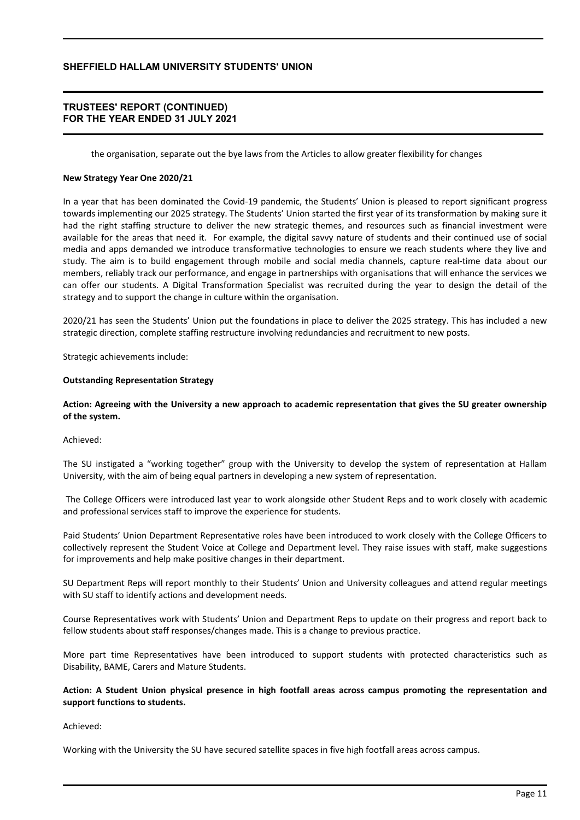### **TRUSTEES' REPORT (CONTINUED) FOR THE YEAR ENDED 31 JULY 2021**

the organisation, separate out the bye laws from the Articles to allow greater flexibility for changes

### **New Strategy Year One 2020/21**

In a year that has been dominated the Covid-19 pandemic, the Students' Union is pleased to report significant progress towards implementing our 2025 strategy. The Students' Union started the first year of its transformation by making sure it had the right staffing structure to deliver the new strategic themes, and resources such as financial investment were available for the areas that need it. For example, the digital savvy nature of students and their continued use of social media and apps demanded we introduce transformative technologies to ensure we reach students where they live and study. The aim is to build engagement through mobile and social media channels, capture real-time data about our members, reliably track our performance, and engage in partnerships with organisations that will enhance the services we can offer our students. A Digital Transformation Specialist was recruited during the year to design the detail of the strategy and to support the change in culture within the organisation.

2020/21 has seen the Students' Union put the foundations in place to deliver the 2025 strategy. This has included a new strategic direction, complete staffing restructure involving redundancies and recruitment to new posts.

Strategic achievements include:

### **Outstanding Representation Strategy**

## **Action: Agreeing with the University a new approach to academic representation that gives the SU greater ownership of the system.**

#### Achieved:

The SU instigated a "working together" group with the University to develop the system of representation at Hallam University, with the aim of being equal partners in developing a new system of representation.

 The College Officers were introduced last year to work alongside other Student Reps and to work closely with academic and professional services staff to improve the experience for students.

Paid Students' Union Department Representative roles have been introduced to work closely with the College Officers to collectively represent the Student Voice at College and Department level. They raise issues with staff, make suggestions for improvements and help make positive changes in their department.

SU Department Reps will report monthly to their Students' Union and University colleagues and attend regular meetings with SU staff to identify actions and development needs.

Course Representatives work with Students' Union and Department Reps to update on their progress and report back to fellow students about staff responses/changes made. This is a change to previous practice.

More part time Representatives have been introduced to support students with protected characteristics such as Disability, BAME, Carers and Mature Students.

### **Action: A Student Union physical presence in high footfall areas across campus promoting the representation and support functions to students.**

#### Achieved:

Working with the University the SU have secured satellite spaces in five high footfall areas across campus.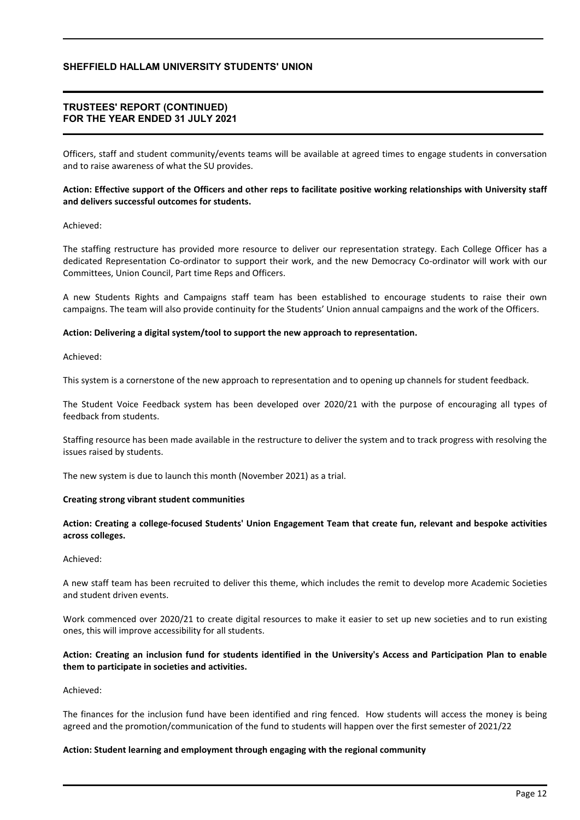## **TRUSTEES' REPORT (CONTINUED) FOR THE YEAR ENDED 31 JULY 2021**

Officers, staff and student community/events teams will be available at agreed times to engage students in conversation and to raise awareness of what the SU provides.

## **Action: Effective support of the Officers and other reps to facilitate positive working relationships with University staff and delivers successful outcomes for students.**

### Achieved:

The staffing restructure has provided more resource to deliver our representation strategy. Each College Officer has a dedicated Representation Co-ordinator to support their work, and the new Democracy Co-ordinator will work with our Committees, Union Council, Part time Reps and Officers.

A new Students Rights and Campaigns staff team has been established to encourage students to raise their own campaigns. The team will also provide continuity for the Students' Union annual campaigns and the work of the Officers.

### **Action: Delivering a digital system/tool to support the new approach to representation.**

Achieved:

This system is a cornerstone of the new approach to representation and to opening up channels for student feedback.

The Student Voice Feedback system has been developed over 2020/21 with the purpose of encouraging all types of feedback from students.

Staffing resource has been made available in the restructure to deliver the system and to track progress with resolving the issues raised by students.

The new system is due to launch this month (November 2021) as a trial.

#### **Creating strong vibrant student communities**

## **Action: Creating a college-focused Students' Union Engagement Team that create fun, relevant and bespoke activities across colleges.**

## Achieved:

A new staff team has been recruited to deliver this theme, which includes the remit to develop more Academic Societies and student driven events.

Work commenced over 2020/21 to create digital resources to make it easier to set up new societies and to run existing ones, this will improve accessibility for all students.

## **Action: Creating an inclusion fund for students identified in the University's Access and Participation Plan to enable them to participate in societies and activities.**

Achieved:

The finances for the inclusion fund have been identified and ring fenced. How students will access the money is being agreed and the promotion/communication of the fund to students will happen over the first semester of 2021/22

### **Action: Student learning and employment through engaging with the regional community**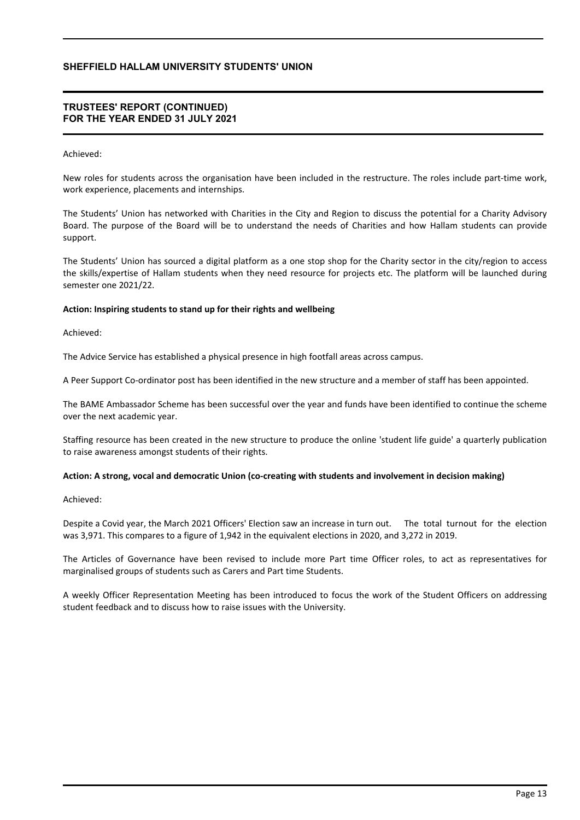### **TRUSTEES' REPORT (CONTINUED) FOR THE YEAR ENDED 31 JULY 2021**

### Achieved:

New roles for students across the organisation have been included in the restructure. The roles include part-time work, work experience, placements and internships.

The Students' Union has networked with Charities in the City and Region to discuss the potential for a Charity Advisory Board. The purpose of the Board will be to understand the needs of Charities and how Hallam students can provide support.

The Students' Union has sourced a digital platform as a one stop shop for the Charity sector in the city/region to access the skills/expertise of Hallam students when they need resource for projects etc. The platform will be launched during semester one 2021/22.

### **Action: Inspiring students to stand up for their rights and wellbeing**

Achieved:

The Advice Service has established a physical presence in high footfall areas across campus.

A Peer Support Co-ordinator post has been identified in the new structure and a member of staff has been appointed.

The BAME Ambassador Scheme has been successful over the year and funds have been identified to continue the scheme over the next academic year.

Staffing resource has been created in the new structure to produce the online 'student life guide' a quarterly publication to raise awareness amongst students of their rights.

### **Action: A strong, vocal and democratic Union (co-creating with students and involvement in decision making)**

Achieved:

Despite a Covid year, the March 2021 Officers' Election saw an increase in turn out. The total turnout for the election was 3,971. This compares to a figure of 1,942 in the equivalent elections in 2020, and 3,272 in 2019.

The Articles of Governance have been revised to include more Part time Officer roles, to act as representatives for marginalised groups of students such as Carers and Part time Students.

A weekly Officer Representation Meeting has been introduced to focus the work of the Student Officers on addressing student feedback and to discuss how to raise issues with the University.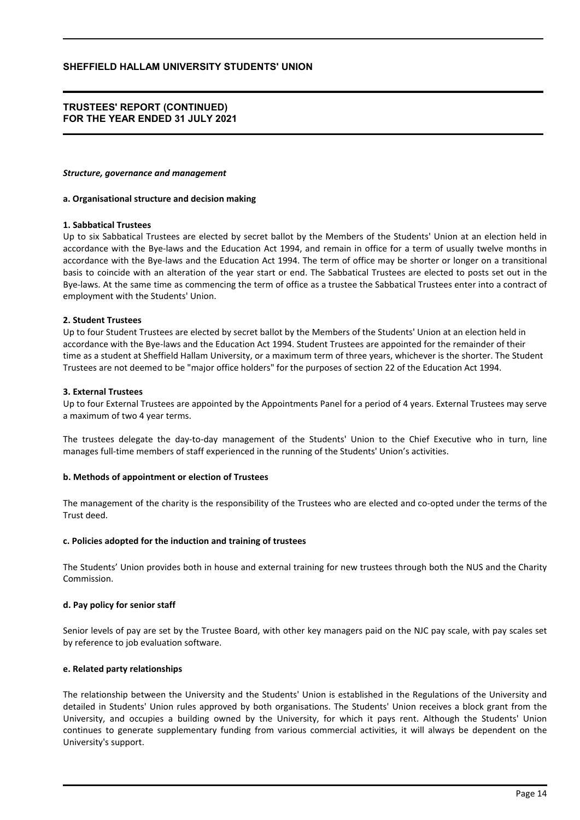### **TRUSTEES' REPORT (CONTINUED) FOR THE YEAR ENDED 31 JULY 2021**

#### *Structure, governance and management*

#### **a. Organisational structure and decision making**

### **1. Sabbatical Trustees**

Up to six Sabbatical Trustees are elected by secret ballot by the Members of the Students' Union at an election held in accordance with the Bye-laws and the Education Act 1994, and remain in office for a term of usually twelve months in accordance with the Bye-laws and the Education Act 1994. The term of office may be shorter or longer on a transitional basis to coincide with an alteration of the year start or end. The Sabbatical Trustees are elected to posts set out in the Bye-laws. At the same time as commencing the term of office as a trustee the Sabbatical Trustees enter into a contract of employment with the Students' Union.

### **2. Student Trustees**

Up to four Student Trustees are elected by secret ballot by the Members of the Students' Union at an election held in accordance with the Bye-laws and the Education Act 1994. Student Trustees are appointed for the remainder of their time as a student at Sheffield Hallam University, or a maximum term of three years, whichever is the shorter. The Student Trustees are not deemed to be "major office holders" for the purposes of section 22 of the Education Act 1994.

### **3. External Trustees**

Up to four External Trustees are appointed by the Appointments Panel for a period of 4 years. External Trustees may serve a maximum of two 4 year terms.

The trustees delegate the day-to-day management of the Students' Union to the Chief Executive who in turn, line manages full-time members of staff experienced in the running of the Students' Union's activities.

### **b. Methods of appointment or election of Trustees**

The management of the charity is the responsibility of the Trustees who are elected and co-opted under the terms of the Trust deed.

#### **c. Policies adopted for the induction and training of trustees**

The Students' Union provides both in house and external training for new trustees through both the NUS and the Charity Commission.

### **d. Pay policy for senior staff**

Senior levels of pay are set by the Trustee Board, with other key managers paid on the NJC pay scale, with pay scales set by reference to job evaluation software.

#### **e. Related party relationships**

The relationship between the University and the Students' Union is established in the Regulations of the University and detailed in Students' Union rules approved by both organisations. The Students' Union receives a block grant from the University, and occupies a building owned by the University, for which it pays rent. Although the Students' Union continues to generate supplementary funding from various commercial activities, it will always be dependent on the University's support.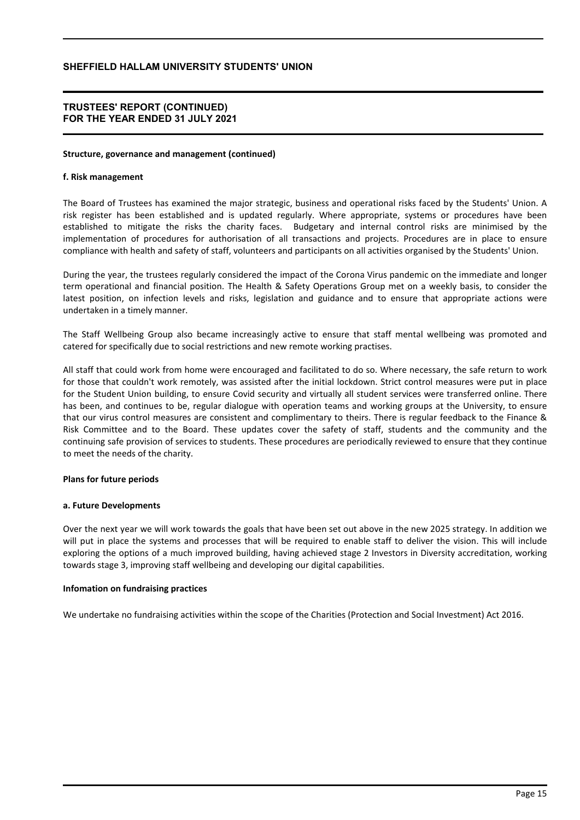### **TRUSTEES' REPORT (CONTINUED) FOR THE YEAR ENDED 31 JULY 2021**

#### **Structure, governance and management (continued)**

### **f. Risk management**

The Board of Trustees has examined the major strategic, business and operational risks faced by the Students' Union. A risk register has been established and is updated regularly. Where appropriate, systems or procedures have been established to mitigate the risks the charity faces. Budgetary and internal control risks are minimised by the implementation of procedures for authorisation of all transactions and projects. Procedures are in place to ensure compliance with health and safety of staff, volunteers and participants on all activities organised by the Students' Union.

During the year, the trustees regularly considered the impact of the Corona Virus pandemic on the immediate and longer term operational and financial position. The Health & Safety Operations Group met on a weekly basis, to consider the latest position, on infection levels and risks, legislation and guidance and to ensure that appropriate actions were undertaken in a timely manner.

The Staff Wellbeing Group also became increasingly active to ensure that staff mental wellbeing was promoted and catered for specifically due to social restrictions and new remote working practises.

All staff that could work from home were encouraged and facilitated to do so. Where necessary, the safe return to work for those that couldn't work remotely, was assisted after the initial lockdown. Strict control measures were put in place for the Student Union building, to ensure Covid security and virtually all student services were transferred online. There has been, and continues to be, regular dialogue with operation teams and working groups at the University, to ensure that our virus control measures are consistent and complimentary to theirs. There is regular feedback to the Finance & Risk Committee and to the Board. These updates cover the safety of staff, students and the community and the continuing safe provision of services to students. These procedures are periodically reviewed to ensure that they continue to meet the needs of the charity.

### **Plans for future periods**

### **a. Future Developments**

Over the next year we will work towards the goals that have been set out above in the new 2025 strategy. In addition we will put in place the systems and processes that will be required to enable staff to deliver the vision. This will include exploring the options of a much improved building, having achieved stage 2 Investors in Diversity accreditation, working towards stage 3, improving staff wellbeing and developing our digital capabilities.

### **Infomation on fundraising practices**

We undertake no fundraising activities within the scope of the Charities (Protection and Social Investment) Act 2016.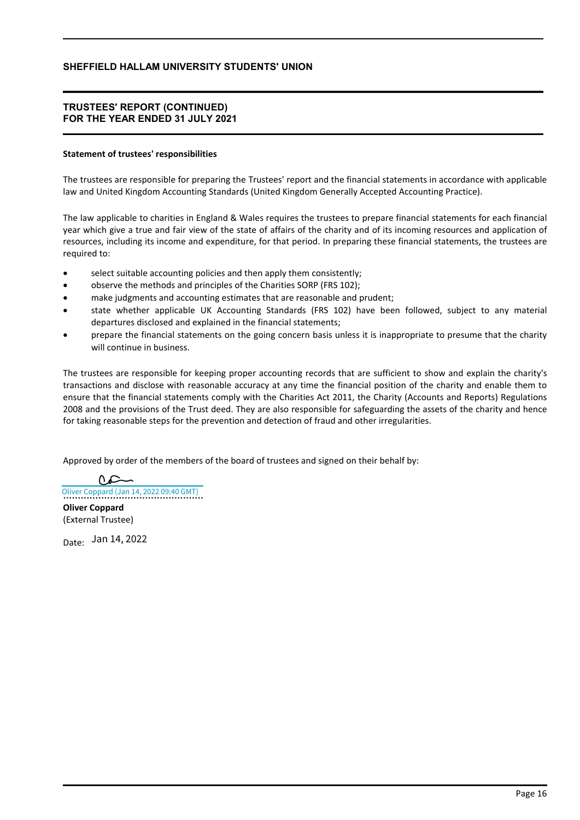## **TRUSTEES' REPORT (CONTINUED) FOR THE YEAR ENDED 31 JULY 2021**

### **Statement of trustees' responsibilities**

The trustees are responsible for preparing the Trustees' report and the financial statements in accordance with applicable law and United Kingdom Accounting Standards (United Kingdom Generally Accepted Accounting Practice).

The law applicable to charities in England & Wales requires the trustees to prepare financial statements for each financial year which give a true and fair view of the state of affairs of the charity and of its incoming resources and application of resources, including its income and expenditure, for that period. In preparing these financial statements, the trustees are required to:

- select suitable accounting policies and then apply them consistently;
- observe the methods and principles of the Charities SORP (FRS 102);
- make judgments and accounting estimates that are reasonable and prudent;
- state whether applicable UK Accounting Standards (FRS 102) have been followed, subject to any material departures disclosed and explained in the financial statements;
- prepare the financial statements on the going concern basis unless it is inappropriate to presume that the charity will continue in business.

The trustees are responsible for keeping proper accounting records that are sufficient to show and explain the charity's transactions and disclose with reasonable accuracy at any time the financial position of the charity and enable them to ensure that the financial statements comply with the Charities Act 2011, the Charity (Accounts and Reports) Regulations 2008 and the provisions of the Trust deed. They are also responsible for safeguarding the assets of the charity and hence for taking reasonable steps for the prevention and detection of fraud and other irregularities.

Approved by order of the members of the board of trustees and signed on their behalf by:

[Oliver Coppard \(Jan 14, 2022 09:40 GMT\)](https://eu1.documents.adobe.com/verifier?tx=CBJCHBCAABAAXHMCOY9X8Zl0_tHHz0YOtgLkQeYdkoNd)

**Oliver Coppard** (External Trustee)

<sub>Date:</sub> Jan 14, 2022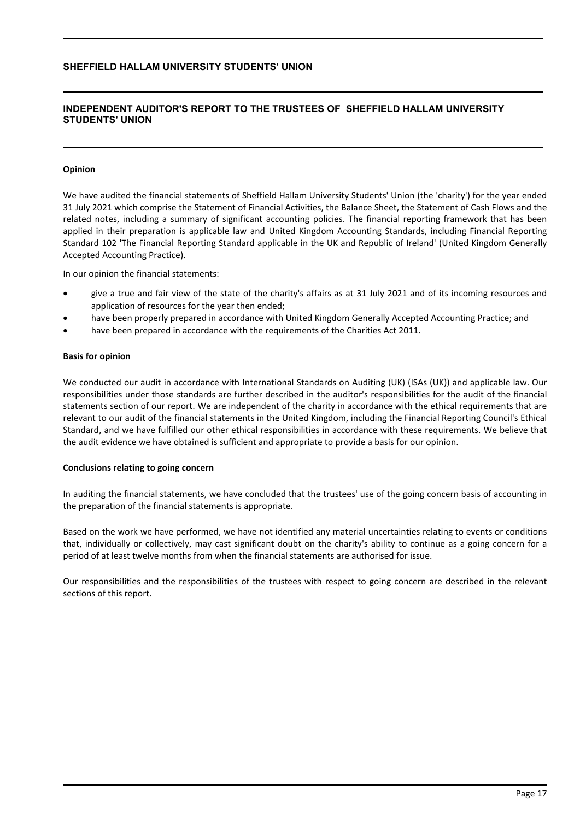## **INDEPENDENT AUDITOR'S REPORT TO THE TRUSTEES OF SHEFFIELD HALLAM UNIVERSITY STUDENTS' UNION**

### **Opinion**

We have audited the financial statements of Sheffield Hallam University Students' Union (the 'charity') for the year ended 31 July 2021 which comprise the Statement of Financial Activities, the Balance Sheet, the Statement of Cash Flows and the related notes, including a summary of significant accounting policies. The financial reporting framework that has been applied in their preparation is applicable law and United Kingdom Accounting Standards, including Financial Reporting Standard 102 'The Financial Reporting Standard applicable in the UK and Republic of Ireland' (United Kingdom Generally Accepted Accounting Practice).

In our opinion the financial statements:

- give a true and fair view of the state of the charity's affairs as at 31 July 2021 and of its incoming resources and application of resources for the year then ended;
- have been properly prepared in accordance with United Kingdom Generally Accepted Accounting Practice; and
- have been prepared in accordance with the requirements of the Charities Act 2011.

### **Basis for opinion**

We conducted our audit in accordance with International Standards on Auditing (UK) (ISAs (UK)) and applicable law. Our responsibilities under those standards are further described in the auditor's responsibilities for the audit of the financial statements section of our report. We are independent of the charity in accordance with the ethical requirements that are relevant to our audit of the financial statements in the United Kingdom, including the Financial Reporting Council's Ethical Standard, and we have fulfilled our other ethical responsibilities in accordance with these requirements. We believe that the audit evidence we have obtained is sufficient and appropriate to provide a basis for our opinion.

#### **Conclusions relating to going concern**

In auditing the financial statements, we have concluded that the trustees' use of the going concern basis of accounting in the preparation of the financial statements is appropriate.

Based on the work we have performed, we have not identified any material uncertainties relating to events or conditions that, individually or collectively, may cast significant doubt on the charity's ability to continue as a going concern for a period of at least twelve months from when the financial statements are authorised for issue.

Our responsibilities and the responsibilities of the trustees with respect to going concern are described in the relevant sections of this report.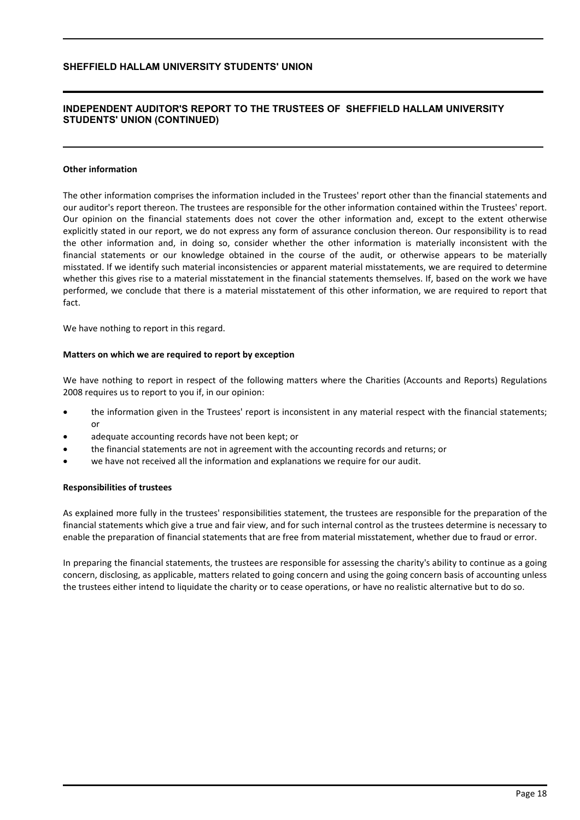## **INDEPENDENT AUDITOR'S REPORT TO THE TRUSTEES OF SHEFFIELD HALLAM UNIVERSITY STUDENTS' UNION (CONTINUED)**

#### **Other information**

The other information comprises the information included in the Trustees' report other than the financial statements and our auditor's report thereon. The trustees are responsible for the other information contained within the Trustees' report. Our opinion on the financial statements does not cover the other information and, except to the extent otherwise explicitly stated in our report, we do not express any form of assurance conclusion thereon. Our responsibility is to read the other information and, in doing so, consider whether the other information is materially inconsistent with the financial statements or our knowledge obtained in the course of the audit, or otherwise appears to be materially misstated. If we identify such material inconsistencies or apparent material misstatements, we are required to determine whether this gives rise to a material misstatement in the financial statements themselves. If, based on the work we have performed, we conclude that there is a material misstatement of this other information, we are required to report that fact.

We have nothing to report in this regard.

### **Matters on which we are required to report by exception**

We have nothing to report in respect of the following matters where the Charities (Accounts and Reports) Regulations 2008 requires us to report to you if, in our opinion:

- the information given in the Trustees' report is inconsistent in any material respect with the financial statements; or
- adequate accounting records have not been kept; or
- the financial statements are not in agreement with the accounting records and returns; or
- we have not received all the information and explanations we require for our audit.

#### **Responsibilities of trustees**

As explained more fully in the trustees' responsibilities statement, the trustees are responsible for the preparation of the financial statements which give a true and fair view, and for such internal control as the trustees determine is necessary to enable the preparation of financial statements that are free from material misstatement, whether due to fraud or error.

In preparing the financial statements, the trustees are responsible for assessing the charity's ability to continue as a going concern, disclosing, as applicable, matters related to going concern and using the going concern basis of accounting unless the trustees either intend to liquidate the charity or to cease operations, or have no realistic alternative but to do so.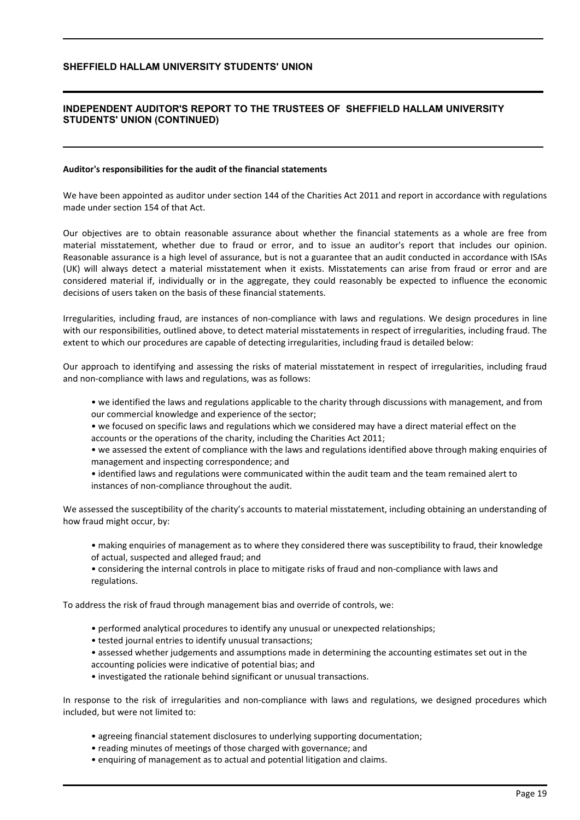## **INDEPENDENT AUDITOR'S REPORT TO THE TRUSTEES OF SHEFFIELD HALLAM UNIVERSITY STUDENTS' UNION (CONTINUED)**

#### **Auditor's responsibilities for the audit of the financial statements**

We have been appointed as auditor under section 144 of the Charities Act 2011 and report in accordance with regulations made under section 154 of that Act.

Our objectives are to obtain reasonable assurance about whether the financial statements as a whole are free from material misstatement, whether due to fraud or error, and to issue an auditor's report that includes our opinion. Reasonable assurance is a high level of assurance, but is not a guarantee that an audit conducted in accordance with ISAs (UK) will always detect a material misstatement when it exists. Misstatements can arise from fraud or error and are considered material if, individually or in the aggregate, they could reasonably be expected to influence the economic decisions of users taken on the basis of these financial statements.

Irregularities, including fraud, are instances of non-compliance with laws and regulations. We design procedures in line with our responsibilities, outlined above, to detect material misstatements in respect of irregularities, including fraud. The extent to which our procedures are capable of detecting irregularities, including fraud is detailed below:

Our approach to identifying and assessing the risks of material misstatement in respect of irregularities, including fraud and non-compliance with laws and regulations, was as follows:

- we identified the laws and regulations applicable to the charity through discussions with management, and from our commercial knowledge and experience of the sector;
- we focused on specific laws and regulations which we considered may have a direct material effect on the accounts or the operations of the charity, including the Charities Act 2011;

• we assessed the extent of compliance with the laws and regulations identified above through making enquiries of management and inspecting correspondence; and

• identified laws and regulations were communicated within the audit team and the team remained alert to instances of non-compliance throughout the audit.

We assessed the susceptibility of the charity's accounts to material misstatement, including obtaining an understanding of how fraud might occur, by:

• making enquiries of management as to where they considered there was susceptibility to fraud, their knowledge of actual, suspected and alleged fraud; and

• considering the internal controls in place to mitigate risks of fraud and non-compliance with laws and regulations.

To address the risk of fraud through management bias and override of controls, we:

- performed analytical procedures to identify any unusual or unexpected relationships;
- tested journal entries to identify unusual transactions;
- assessed whether judgements and assumptions made in determining the accounting estimates set out in the accounting policies were indicative of potential bias; and
- investigated the rationale behind significant or unusual transactions.

In response to the risk of irregularities and non-compliance with laws and regulations, we designed procedures which included, but were not limited to:

- agreeing financial statement disclosures to underlying supporting documentation;
- reading minutes of meetings of those charged with governance; and
- enquiring of management as to actual and potential litigation and claims.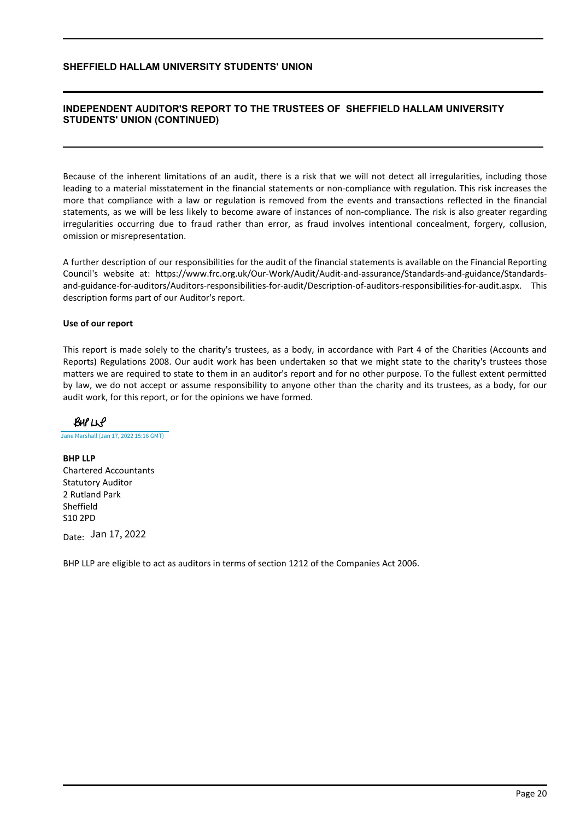## **INDEPENDENT AUDITOR'S REPORT TO THE TRUSTEES OF SHEFFIELD HALLAM UNIVERSITY STUDENTS' UNION (CONTINUED)**

Because of the inherent limitations of an audit, there is a risk that we will not detect all irregularities, including those leading to a material misstatement in the financial statements or non-compliance with regulation. This risk increases the more that compliance with a law or regulation is removed from the events and transactions reflected in the financial statements, as we will be less likely to become aware of instances of non-compliance. The risk is also greater regarding irregularities occurring due to fraud rather than error, as fraud involves intentional concealment, forgery, collusion, omission or misrepresentation.

A further description of our responsibilities for the audit of the financial statements is available on the Financial Reporting Council's website at: https://www.frc.org.uk/Our-Work/Audit/Audit-and-assurance/Standards-and-guidance/Standardsand-guidance-for-auditors/Auditors-responsibilities-for-audit/Description-of-auditors-responsibilities-for-audit.aspx. This description forms part of our Auditor's report.

### **Use of our report**

This report is made solely to the charity's trustees, as a body, in accordance with Part 4 of the Charities (Accounts and Reports) Regulations 2008. Our audit work has been undertaken so that we might state to the charity's trustees those matters we are required to state to them in an auditor's report and for no other purpose. To the fullest extent permitted by law, we do not accept or assume responsibility to anyone other than the charity and its trustees, as a body, for our audit work, for this report, or for the opinions we have formed.

 $BHPLLP$ 

[Jane Marshall \(Jan 17, 2022 15:16 GMT\)](https://adobecancelledaccountschannel.eu1.documents.adobe.com/verifier?tx=CBJCHBCAABAAXHMCOY9X8Zl0_tHHz0YOtgLkQeYdkoNd)

**BHP LLP** Chartered Accountants Statutory Auditor 2 Rutland Park Sheffield S10 2PD

<sub>Date:</sub> Jan 17, 2022

BHP LLP are eligible to act as auditors in terms of section 1212 of the Companies Act 2006.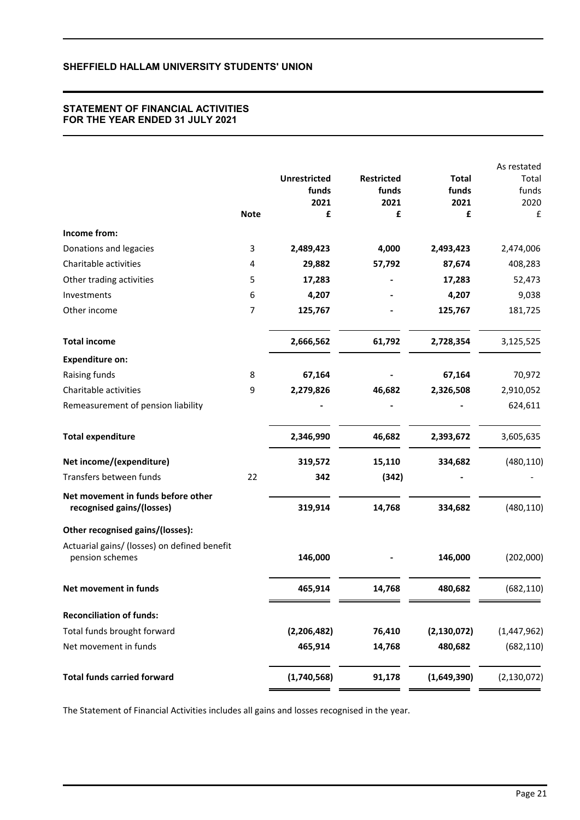# **STATEMENT OF FINANCIAL ACTIVITIES FOR THE YEAR ENDED 31 JULY 2021**

|                                                                 |                |                     |                   |               | As restated   |
|-----------------------------------------------------------------|----------------|---------------------|-------------------|---------------|---------------|
|                                                                 |                | <b>Unrestricted</b> | <b>Restricted</b> | <b>Total</b>  | Total         |
|                                                                 |                | funds               | funds             | funds         | funds         |
|                                                                 |                | 2021                | 2021              | 2021          | 2020          |
|                                                                 | <b>Note</b>    | £                   | £                 | £             | £             |
| Income from:                                                    |                |                     |                   |               |               |
| Donations and legacies                                          | 3              | 2,489,423           | 4,000             | 2,493,423     | 2,474,006     |
| Charitable activities                                           | 4              | 29,882              | 57,792            | 87,674        | 408,283       |
| Other trading activities                                        | 5              | 17,283              |                   | 17,283        | 52,473        |
| Investments                                                     | 6              | 4,207               |                   | 4,207         | 9,038         |
| Other income                                                    | $\overline{7}$ | 125,767             |                   | 125,767       | 181,725       |
| <b>Total income</b>                                             |                | 2,666,562           | 61,792            | 2,728,354     | 3,125,525     |
| <b>Expenditure on:</b>                                          |                |                     |                   |               |               |
| Raising funds                                                   | 8              | 67,164              |                   | 67,164        | 70,972        |
| Charitable activities                                           | 9              | 2,279,826           | 46,682            | 2,326,508     | 2,910,052     |
| Remeasurement of pension liability                              |                |                     |                   |               | 624,611       |
| <b>Total expenditure</b>                                        |                | 2,346,990           | 46,682            | 2,393,672     | 3,605,635     |
| Net income/(expenditure)                                        |                | 319,572             | 15,110            | 334,682       | (480, 110)    |
| Transfers between funds                                         | 22             | 342                 | (342)             |               |               |
| Net movement in funds before other<br>recognised gains/(losses) |                | 319,914             | 14,768            | 334,682       | (480, 110)    |
| Other recognised gains/(losses):                                |                |                     |                   |               |               |
| Actuarial gains/ (losses) on defined benefit<br>pension schemes |                | 146,000             |                   | 146,000       | (202,000)     |
| Net movement in funds                                           |                | 465,914             | 14,768            | 480,682       | (682, 110)    |
| <b>Reconciliation of funds:</b>                                 |                |                     |                   |               |               |
| Total funds brought forward                                     |                | (2, 206, 482)       | 76,410            | (2, 130, 072) | (1,447,962)   |
| Net movement in funds                                           |                | 465,914             | 14,768            | 480,682       | (682, 110)    |
| <b>Total funds carried forward</b>                              |                | (1,740,568)         | 91,178            | (1,649,390)   | (2, 130, 072) |

The Statement of Financial Activities includes all gains and losses recognised in the year.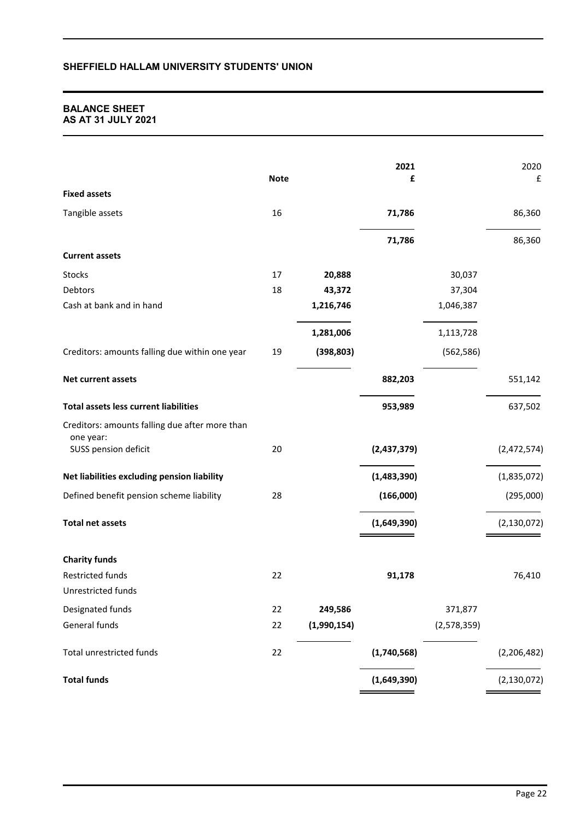## **BALANCE SHEET AS AT 31 JULY 2021**

|                                                | <b>Note</b> |             | 2021<br>£   |             | 2020<br>£     |
|------------------------------------------------|-------------|-------------|-------------|-------------|---------------|
| <b>Fixed assets</b>                            |             |             |             |             |               |
| Tangible assets                                | 16          |             | 71,786      |             | 86,360        |
|                                                |             |             | 71,786      |             | 86,360        |
| <b>Current assets</b>                          |             |             |             |             |               |
| Stocks                                         | 17          | 20,888      |             | 30,037      |               |
| Debtors                                        | 18          | 43,372      |             | 37,304      |               |
| Cash at bank and in hand                       |             | 1,216,746   |             | 1,046,387   |               |
|                                                |             | 1,281,006   |             | 1,113,728   |               |
| Creditors: amounts falling due within one year | 19          | (398, 803)  |             | (562, 586)  |               |
| Net current assets                             |             |             | 882,203     |             | 551,142       |
| <b>Total assets less current liabilities</b>   |             |             | 953,989     |             | 637,502       |
| Creditors: amounts falling due after more than |             |             |             |             |               |
| one year:                                      |             |             |             |             |               |
| SUSS pension deficit                           | 20          |             | (2,437,379) |             | (2,472,574)   |
| Net liabilities excluding pension liability    |             |             | (1,483,390) |             | (1,835,072)   |
| Defined benefit pension scheme liability       | 28          |             | (166,000)   |             | (295,000)     |
| <b>Total net assets</b>                        |             |             | (1,649,390) |             | (2, 130, 072) |
| <b>Charity funds</b>                           |             |             |             |             |               |
| Restricted funds                               | 22          |             | 91,178      |             | 76,410        |
| Unrestricted funds                             |             |             |             |             |               |
| Designated funds                               | 22          | 249,586     |             | 371,877     |               |
| General funds                                  | 22          | (1,990,154) |             | (2,578,359) |               |
| Total unrestricted funds                       | 22          |             | (1,740,568) |             | (2, 206, 482) |
| <b>Total funds</b>                             |             |             | (1,649,390) |             | (2, 130, 072) |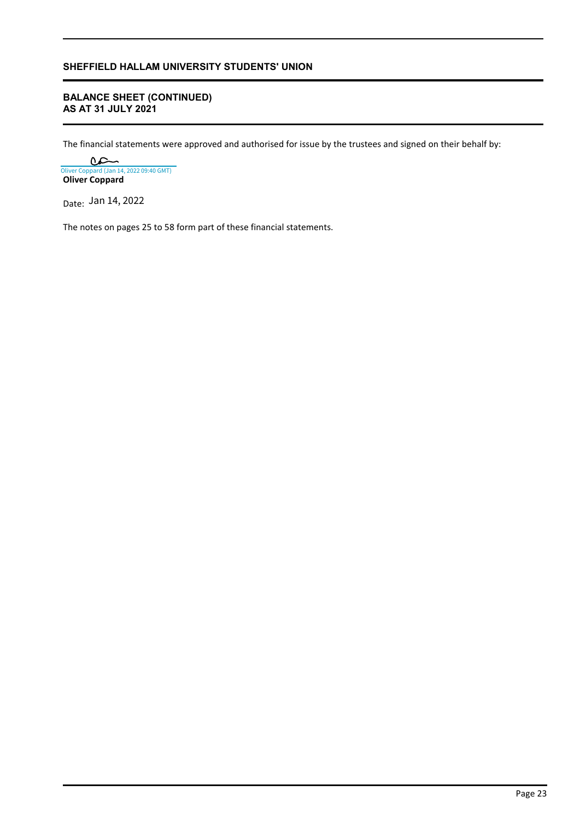# **BALANCE SHEET (CONTINUED) AS AT 31 JULY 2021**

The financial statements were approved and authorised for issue by the trustees and signed on their behalf by:

**Oliver Coppard** [Oliver Coppard \(Jan 14, 2022 09:40 GMT\)](https://eu1.documents.adobe.com/verifier?tx=CBJCHBCAABAAXHMCOY9X8Zl0_tHHz0YOtgLkQeYdkoNd)

Date: Jan 14, 2022

The notes on pages 25 to 58 form part of these financial statements.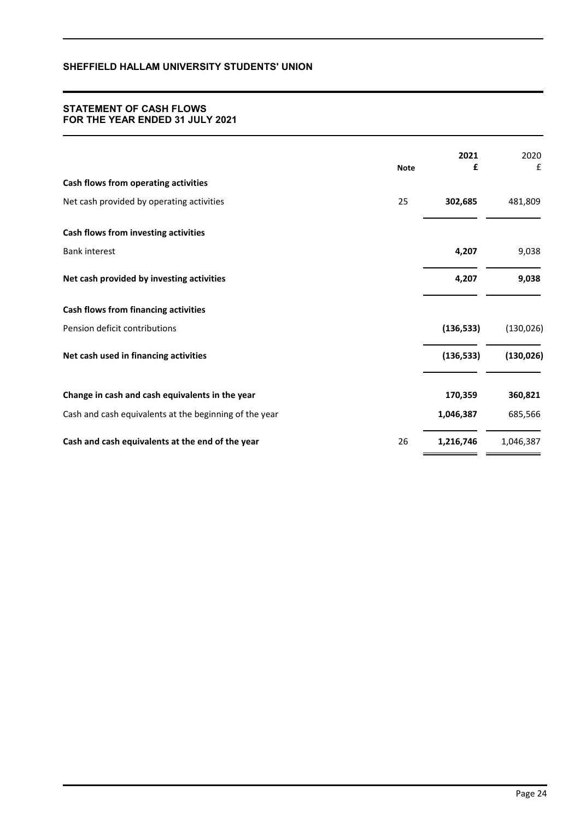## **STATEMENT OF CASH FLOWS FOR THE YEAR ENDED 31 JULY 2021**

|                                                        | <b>Note</b> | 2021<br>£  | 2020<br>£  |
|--------------------------------------------------------|-------------|------------|------------|
| Cash flows from operating activities                   |             |            |            |
| Net cash provided by operating activities              | 25          | 302,685    | 481,809    |
| Cash flows from investing activities                   |             |            |            |
| <b>Bank interest</b>                                   |             | 4,207      | 9,038      |
| Net cash provided by investing activities              |             | 4,207      | 9,038      |
| <b>Cash flows from financing activities</b>            |             |            |            |
| Pension deficit contributions                          |             | (136, 533) | (130, 026) |
| Net cash used in financing activities                  |             | (136, 533) | (130, 026) |
| Change in cash and cash equivalents in the year        |             | 170,359    | 360,821    |
| Cash and cash equivalents at the beginning of the year |             | 1,046,387  | 685,566    |
| Cash and cash equivalents at the end of the year       | 26          | 1,216,746  | 1,046,387  |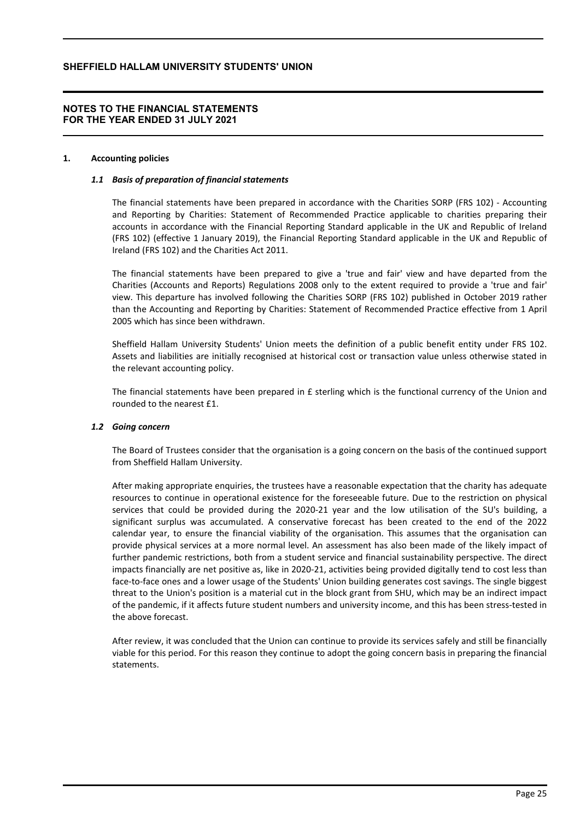## **NOTES TO THE FINANCIAL STATEMENTS FOR THE YEAR ENDED 31 JULY 2021**

### **1. Accounting policies**

### *1.1 Basis of preparation of financial statements*

The financial statements have been prepared in accordance with the Charities SORP (FRS 102) - Accounting and Reporting by Charities: Statement of Recommended Practice applicable to charities preparing their accounts in accordance with the Financial Reporting Standard applicable in the UK and Republic of Ireland (FRS 102) (effective 1 January 2019), the Financial Reporting Standard applicable in the UK and Republic of Ireland (FRS 102) and the Charities Act 2011.

The financial statements have been prepared to give a 'true and fair' view and have departed from the Charities (Accounts and Reports) Regulations 2008 only to the extent required to provide a 'true and fair' view. This departure has involved following the Charities SORP (FRS 102) published in October 2019 rather than the Accounting and Reporting by Charities: Statement of Recommended Practice effective from 1 April 2005 which has since been withdrawn.

Sheffield Hallam University Students' Union meets the definition of a public benefit entity under FRS 102. Assets and liabilities are initially recognised at historical cost or transaction value unless otherwise stated in the relevant accounting policy.

The financial statements have been prepared in  $E$  sterling which is the functional currency of the Union and rounded to the nearest £1.

#### *1.2 Going concern*

The Board of Trustees consider that the organisation is a going concern on the basis of the continued support from Sheffield Hallam University.

After making appropriate enquiries, the trustees have a reasonable expectation that the charity has adequate resources to continue in operational existence for the foreseeable future. Due to the restriction on physical services that could be provided during the 2020-21 year and the low utilisation of the SU's building, a significant surplus was accumulated. A conservative forecast has been created to the end of the 2022 calendar year, to ensure the financial viability of the organisation. This assumes that the organisation can provide physical services at a more normal level. An assessment has also been made of the likely impact of further pandemic restrictions, both from a student service and financial sustainability perspective. The direct impacts financially are net positive as, like in 2020-21, activities being provided digitally tend to cost less than face-to-face ones and a lower usage of the Students' Union building generates cost savings. The single biggest threat to the Union's position is a material cut in the block grant from SHU, which may be an indirect impact of the pandemic, if it affects future student numbers and university income, and this has been stress-tested in the above forecast.

After review, it was concluded that the Union can continue to provide its services safely and still be financially viable for this period. For this reason they continue to adopt the going concern basis in preparing the financial statements.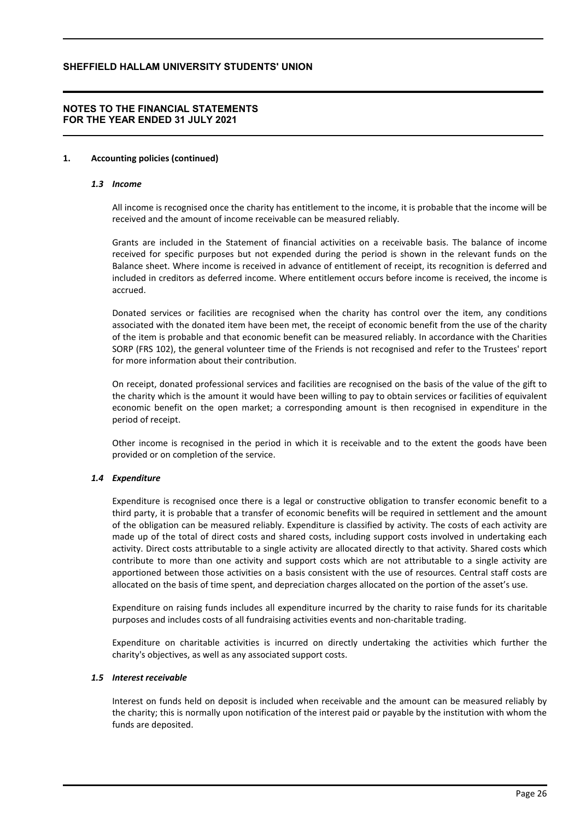## **NOTES TO THE FINANCIAL STATEMENTS FOR THE YEAR ENDED 31 JULY 2021**

### **1. Accounting policies (continued)**

#### *1.3 Income*

All income is recognised once the charity has entitlement to the income, it is probable that the income will be received and the amount of income receivable can be measured reliably.

Grants are included in the Statement of financial activities on a receivable basis. The balance of income received for specific purposes but not expended during the period is shown in the relevant funds on the Balance sheet. Where income is received in advance of entitlement of receipt, its recognition is deferred and included in creditors as deferred income. Where entitlement occurs before income is received, the income is accrued.

Donated services or facilities are recognised when the charity has control over the item, any conditions associated with the donated item have been met, the receipt of economic benefit from the use of the charity of the item is probable and that economic benefit can be measured reliably. In accordance with the Charities SORP (FRS 102), the general volunteer time of the Friends is not recognised and refer to the Trustees' report for more information about their contribution.

On receipt, donated professional services and facilities are recognised on the basis of the value of the gift to the charity which is the amount it would have been willing to pay to obtain services or facilities of equivalent economic benefit on the open market; a corresponding amount is then recognised in expenditure in the period of receipt.

Other income is recognised in the period in which it is receivable and to the extent the goods have been provided or on completion of the service.

### *1.4 Expenditure*

Expenditure is recognised once there is a legal or constructive obligation to transfer economic benefit to a third party, it is probable that a transfer of economic benefits will be required in settlement and the amount of the obligation can be measured reliably. Expenditure is classified by activity. The costs of each activity are made up of the total of direct costs and shared costs, including support costs involved in undertaking each activity. Direct costs attributable to a single activity are allocated directly to that activity. Shared costs which contribute to more than one activity and support costs which are not attributable to a single activity are apportioned between those activities on a basis consistent with the use of resources. Central staff costs are allocated on the basis of time spent, and depreciation charges allocated on the portion of the asset's use.

Expenditure on raising funds includes all expenditure incurred by the charity to raise funds for its charitable purposes and includes costs of all fundraising activities events and non-charitable trading.

Expenditure on charitable activities is incurred on directly undertaking the activities which further the charity's objectives, as well as any associated support costs.

### *1.5 Interest receivable*

Interest on funds held on deposit is included when receivable and the amount can be measured reliably by the charity; this is normally upon notification of the interest paid or payable by the institution with whom the funds are deposited.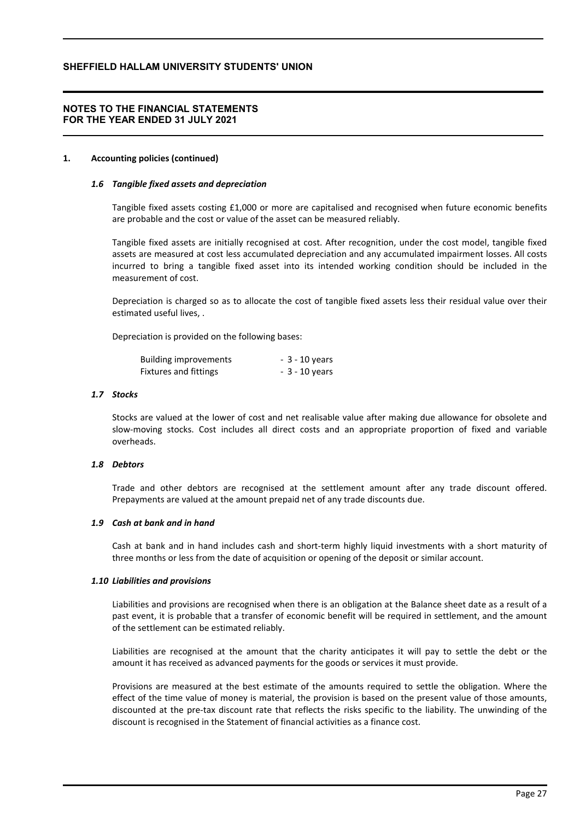## **NOTES TO THE FINANCIAL STATEMENTS FOR THE YEAR ENDED 31 JULY 2021**

### **1. Accounting policies (continued)**

### *1.6 Tangible fixed assets and depreciation*

Tangible fixed assets costing £1,000 or more are capitalised and recognised when future economic benefits are probable and the cost or value of the asset can be measured reliably.

Tangible fixed assets are initially recognised at cost. After recognition, under the cost model, tangible fixed assets are measured at cost less accumulated depreciation and any accumulated impairment losses. All costs incurred to bring a tangible fixed asset into its intended working condition should be included in the measurement of cost.

Depreciation is charged so as to allocate the cost of tangible fixed assets less their residual value over their estimated useful lives, .

Depreciation is provided on the following bases:

| <b>Building improvements</b> | $-3 - 10$ years |
|------------------------------|-----------------|
| <b>Fixtures and fittings</b> | $-3 - 10$ years |

### *1.7 Stocks*

Stocks are valued at the lower of cost and net realisable value after making due allowance for obsolete and slow-moving stocks. Cost includes all direct costs and an appropriate proportion of fixed and variable overheads.

#### *1.8 Debtors*

Trade and other debtors are recognised at the settlement amount after any trade discount offered. Prepayments are valued at the amount prepaid net of any trade discounts due.

### *1.9 Cash at bank and in hand*

Cash at bank and in hand includes cash and short-term highly liquid investments with a short maturity of three months or less from the date of acquisition or opening of the deposit or similar account.

#### *1.10 Liabilities and provisions*

Liabilities and provisions are recognised when there is an obligation at the Balance sheet date as a result of a past event, it is probable that a transfer of economic benefit will be required in settlement, and the amount of the settlement can be estimated reliably.

Liabilities are recognised at the amount that the charity anticipates it will pay to settle the debt or the amount it has received as advanced payments for the goods or services it must provide.

Provisions are measured at the best estimate of the amounts required to settle the obligation. Where the effect of the time value of money is material, the provision is based on the present value of those amounts, discounted at the pre-tax discount rate that reflects the risks specific to the liability. The unwinding of the discount is recognised in the Statement of financial activities as a finance cost.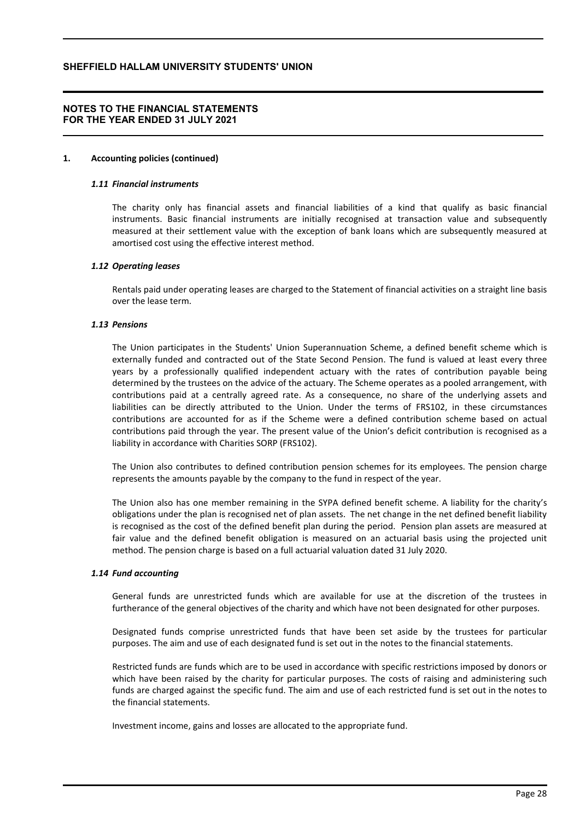## **NOTES TO THE FINANCIAL STATEMENTS FOR THE YEAR ENDED 31 JULY 2021**

### **1. Accounting policies (continued)**

### *1.11 Financial instruments*

The charity only has financial assets and financial liabilities of a kind that qualify as basic financial instruments. Basic financial instruments are initially recognised at transaction value and subsequently measured at their settlement value with the exception of bank loans which are subsequently measured at amortised cost using the effective interest method.

### *1.12 Operating leases*

Rentals paid under operating leases are charged to the Statement of financial activities on a straight line basis over the lease term.

### *1.13 Pensions*

The Union participates in the Students' Union Superannuation Scheme, a defined benefit scheme which is externally funded and contracted out of the State Second Pension. The fund is valued at least every three years by a professionally qualified independent actuary with the rates of contribution payable being determined by the trustees on the advice of the actuary. The Scheme operates as a pooled arrangement, with contributions paid at a centrally agreed rate. As a consequence, no share of the underlying assets and liabilities can be directly attributed to the Union. Under the terms of FRS102, in these circumstances contributions are accounted for as if the Scheme were a defined contribution scheme based on actual contributions paid through the year. The present value of the Union's deficit contribution is recognised as a liability in accordance with Charities SORP (FRS102).

The Union also contributes to defined contribution pension schemes for its employees. The pension charge represents the amounts payable by the company to the fund in respect of the year.

The Union also has one member remaining in the SYPA defined benefit scheme. A liability for the charity's obligations under the plan is recognised net of plan assets. The net change in the net defined benefit liability is recognised as the cost of the defined benefit plan during the period. Pension plan assets are measured at fair value and the defined benefit obligation is measured on an actuarial basis using the projected unit method. The pension charge is based on a full actuarial valuation dated 31 July 2020.

#### *1.14 Fund accounting*

General funds are unrestricted funds which are available for use at the discretion of the trustees in furtherance of the general objectives of the charity and which have not been designated for other purposes.

Designated funds comprise unrestricted funds that have been set aside by the trustees for particular purposes. The aim and use of each designated fund is set out in the notes to the financial statements.

Restricted funds are funds which are to be used in accordance with specific restrictions imposed by donors or which have been raised by the charity for particular purposes. The costs of raising and administering such funds are charged against the specific fund. The aim and use of each restricted fund is set out in the notes to the financial statements.

Investment income, gains and losses are allocated to the appropriate fund.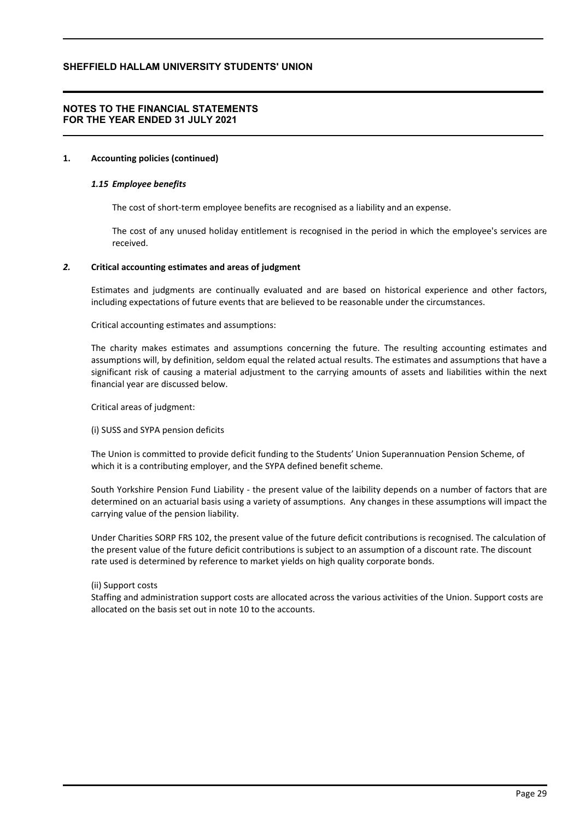## **NOTES TO THE FINANCIAL STATEMENTS FOR THE YEAR ENDED 31 JULY 2021**

### **1. Accounting policies (continued)**

### *1.15 Employee benefits*

The cost of short-term employee benefits are recognised as a liability and an expense.

The cost of any unused holiday entitlement is recognised in the period in which the employee's services are received.

### *2.* **Critical accounting estimates and areas of judgment**

Estimates and judgments are continually evaluated and are based on historical experience and other factors, including expectations of future events that are believed to be reasonable under the circumstances.

Critical accounting estimates and assumptions:

The charity makes estimates and assumptions concerning the future. The resulting accounting estimates and assumptions will, by definition, seldom equal the related actual results. The estimates and assumptions that have a significant risk of causing a material adjustment to the carrying amounts of assets and liabilities within the next financial year are discussed below.

Critical areas of judgment:

(i) SUSS and SYPA pension deficits

The Union is committed to provide deficit funding to the Students' Union Superannuation Pension Scheme, of which it is a contributing employer, and the SYPA defined benefit scheme.

South Yorkshire Pension Fund Liability - the present value of the laibility depends on a number of factors that are determined on an actuarial basis using a variety of assumptions. Any changes in these assumptions will impact the carrying value of the pension liability.

Under Charities SORP FRS 102, the present value of the future deficit contributions is recognised. The calculation of the present value of the future deficit contributions is subject to an assumption of a discount rate. The discount rate used is determined by reference to market yields on high quality corporate bonds.

### (ii) Support costs

Staffing and administration support costs are allocated across the various activities of the Union. Support costs are allocated on the basis set out in note 10 to the accounts.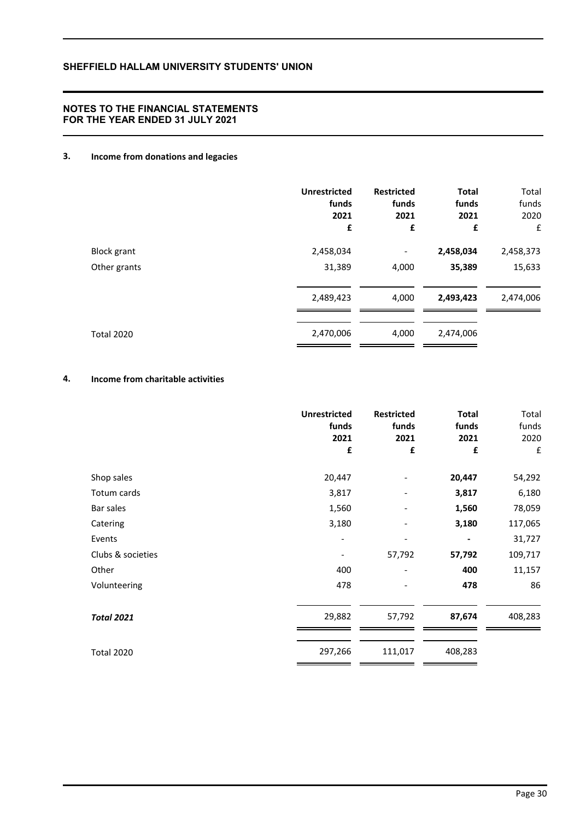## **NOTES TO THE FINANCIAL STATEMENTS FOR THE YEAR ENDED 31 JULY 2021**

# **3. Income from donations and legacies**

|                    | <b>Unrestricted</b><br>funds<br>2021<br>£ | <b>Restricted</b><br>funds<br>2021<br>£ | <b>Total</b><br>funds<br>2021<br>£ | Total<br>funds<br>2020<br>£ |
|--------------------|-------------------------------------------|-----------------------------------------|------------------------------------|-----------------------------|
| <b>Block grant</b> | 2,458,034                                 | $\overline{\phantom{a}}$                | 2,458,034                          | 2,458,373                   |
| Other grants       | 31,389                                    | 4,000                                   | 35,389                             | 15,633                      |
|                    | 2,489,423                                 | 4,000                                   | 2,493,423                          | 2,474,006                   |
| <b>Total 2020</b>  | 2,470,006                                 | 4,000                                   | 2,474,006                          |                             |

# **4. Income from charitable activities**

|                   | <b>Unrestricted</b><br>funds<br>2021<br>£ | <b>Restricted</b><br>funds<br>2021<br>£ | <b>Total</b><br>funds<br>2021<br>£ | Total<br>funds<br>2020<br>£ |
|-------------------|-------------------------------------------|-----------------------------------------|------------------------------------|-----------------------------|
| Shop sales        | 20,447                                    |                                         | 20,447                             | 54,292                      |
| Totum cards       | 3,817                                     |                                         | 3,817                              | 6,180                       |
| Bar sales         | 1,560                                     |                                         | 1,560                              | 78,059                      |
| Catering          | 3,180                                     |                                         | 3,180                              | 117,065                     |
| Events            | -                                         | -                                       | $\overline{\phantom{a}}$           | 31,727                      |
| Clubs & societies |                                           | 57,792                                  | 57,792                             | 109,717                     |
| Other             | 400                                       |                                         | 400                                | 11,157                      |
| Volunteering      | 478                                       |                                         | 478                                | 86                          |
| <b>Total 2021</b> | 29,882                                    | 57,792                                  | 87,674                             | 408,283                     |
| <b>Total 2020</b> | 297,266                                   | 111,017                                 | 408,283                            |                             |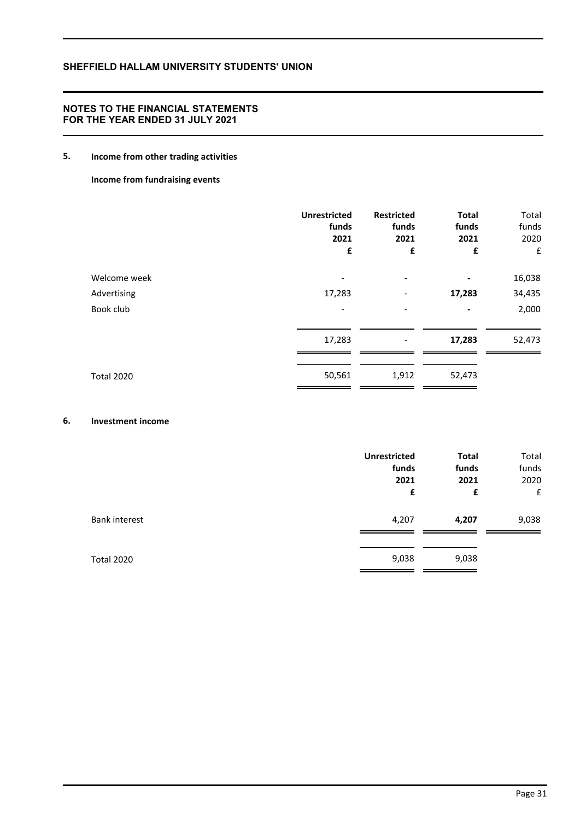## **NOTES TO THE FINANCIAL STATEMENTS FOR THE YEAR ENDED 31 JULY 2021**

# **5. Income from other trading activities**

**Income from fundraising events**

|                   | <b>Unrestricted</b><br>funds<br>2021<br>£ | <b>Restricted</b><br>funds<br>2021<br>£ | <b>Total</b><br>funds<br>2021<br>£ | Total<br>funds<br>2020<br>£ |
|-------------------|-------------------------------------------|-----------------------------------------|------------------------------------|-----------------------------|
| Welcome week      | $\overline{\phantom{a}}$                  | $\overline{\phantom{a}}$                |                                    | 16,038                      |
| Advertising       | 17,283                                    | $\overline{\phantom{a}}$                | 17,283                             | 34,435                      |
| Book club         |                                           |                                         |                                    | 2,000                       |
|                   | 17,283                                    |                                         | 17,283                             | 52,473                      |
| <b>Total 2020</b> | 50,561                                    | 1,912                                   | 52,473                             |                             |

## **6. Investment income**

|                      | <b>Unrestricted</b><br>funds<br>2021<br>£ | <b>Total</b><br>funds<br>2021<br>£ | Total<br>funds<br>2020<br>£ |
|----------------------|-------------------------------------------|------------------------------------|-----------------------------|
| <b>Bank interest</b> | 4,207                                     | 4,207                              | 9,038                       |
| Total 2020           | 9,038                                     | 9,038                              |                             |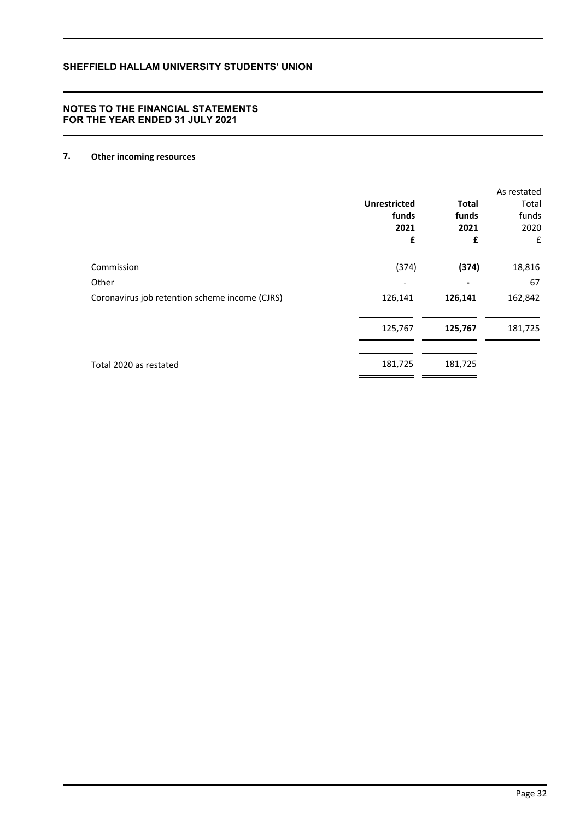# **7. Other incoming resources**

|                                                | <b>Unrestricted</b><br>funds<br>2021<br>£ | <b>Total</b><br>funds<br>2021<br>£ | As restated<br>Total<br>funds<br>2020<br>£ |
|------------------------------------------------|-------------------------------------------|------------------------------------|--------------------------------------------|
| Commission                                     | (374)                                     | (374)                              | 18,816                                     |
| Other                                          |                                           |                                    | 67                                         |
| Coronavirus job retention scheme income (CJRS) | 126,141                                   | 126,141                            | 162,842                                    |
|                                                | 125,767                                   | 125,767                            | 181,725                                    |
| Total 2020 as restated                         | 181,725                                   | 181,725                            |                                            |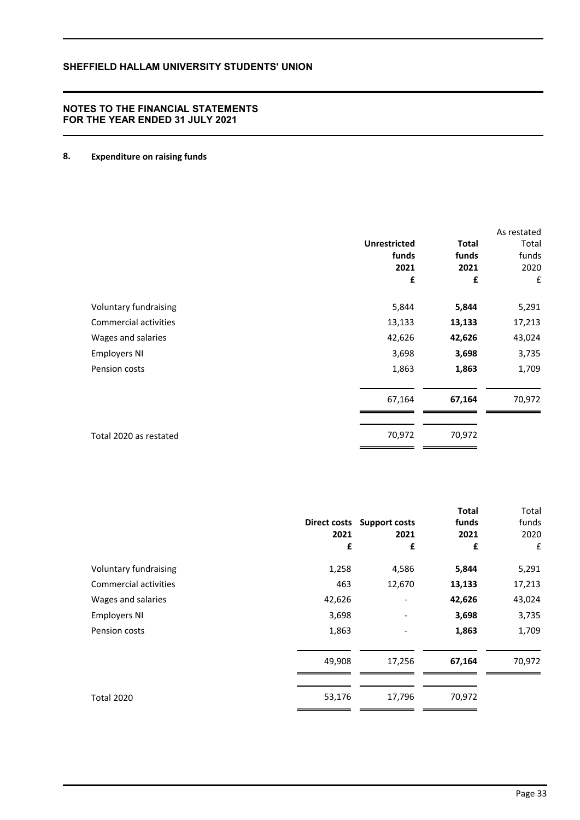# **8. Expenditure on raising funds**

|                        |                     |              | As restated |
|------------------------|---------------------|--------------|-------------|
|                        | <b>Unrestricted</b> | <b>Total</b> | Total       |
|                        | funds               | funds        | funds       |
|                        | 2021                | 2021         | 2020        |
|                        | £                   | £            | £           |
| Voluntary fundraising  | 5,844               | 5,844        | 5,291       |
| Commercial activities  | 13,133              | 13,133       | 17,213      |
| Wages and salaries     | 42,626              | 42,626       | 43,024      |
| <b>Employers NI</b>    | 3,698               | 3,698        | 3,735       |
| Pension costs          | 1,863               | 1,863        | 1,709       |
|                        | 67,164              | 67,164       | 70,972      |
| Total 2020 as restated | 70,972              | 70,972       |             |

|                       |                     |                              | <b>Total</b> | Total  |
|-----------------------|---------------------|------------------------------|--------------|--------|
|                       | <b>Direct costs</b> | <b>Support costs</b>         | funds        | funds  |
|                       | 2021                | 2021                         | 2021         | 2020   |
|                       | £                   | £                            | £            | £      |
| Voluntary fundraising | 1,258               | 4,586                        | 5,844        | 5,291  |
| Commercial activities | 463                 | 12,670                       | 13,133       | 17,213 |
| Wages and salaries    | 42,626              | $\qquad \qquad \blacksquare$ | 42,626       | 43,024 |
| <b>Employers NI</b>   | 3,698               |                              | 3,698        | 3,735  |
| Pension costs         | 1,863               |                              | 1,863        | 1,709  |
|                       | 49,908              | 17,256                       | 67,164       | 70,972 |
|                       |                     |                              |              |        |
| <b>Total 2020</b>     | 53,176              | 17,796                       | 70,972       |        |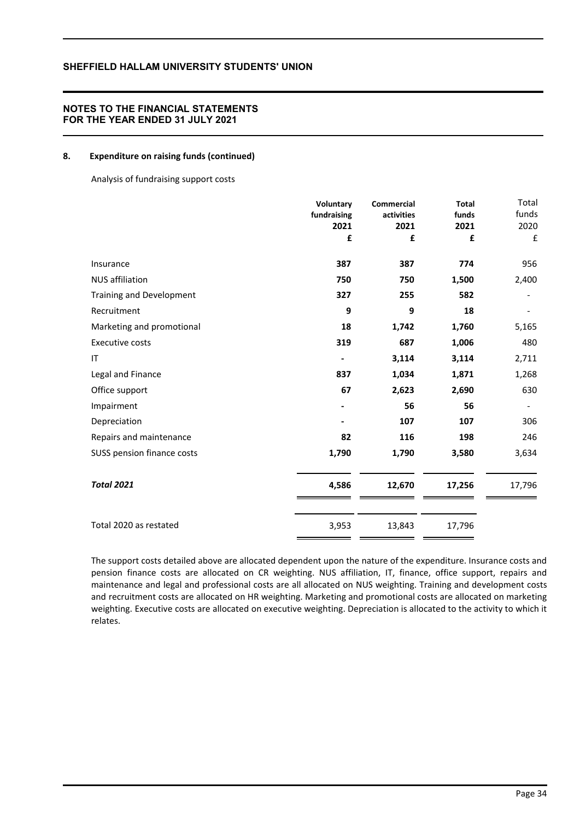### **8. Expenditure on raising funds (continued)**

Analysis of fundraising support costs

|                            | Voluntary<br>fundraising<br>2021<br>£ | <b>Commercial</b><br>activities<br>2021<br>£ | <b>Total</b><br>funds<br>2021<br>£ | Total<br>funds<br>2020<br>£ |
|----------------------------|---------------------------------------|----------------------------------------------|------------------------------------|-----------------------------|
| Insurance                  | 387                                   | 387                                          | 774                                | 956                         |
| <b>NUS affiliation</b>     | 750                                   | 750                                          | 1,500                              | 2,400                       |
| Training and Development   | 327                                   | 255                                          | 582                                |                             |
| Recruitment                | 9                                     | 9                                            | 18                                 |                             |
| Marketing and promotional  | 18                                    | 1,742                                        | 1,760                              | 5,165                       |
| <b>Executive costs</b>     | 319                                   | 687                                          | 1,006                              | 480                         |
| IT                         |                                       | 3,114                                        | 3,114                              | 2,711                       |
| Legal and Finance          | 837                                   | 1,034                                        | 1,871                              | 1,268                       |
| Office support             | 67                                    | 2,623                                        | 2,690                              | 630                         |
| Impairment                 |                                       | 56                                           | 56                                 |                             |
| Depreciation               |                                       | 107                                          | 107                                | 306                         |
| Repairs and maintenance    | 82                                    | 116                                          | 198                                | 246                         |
| SUSS pension finance costs | 1,790                                 | 1,790                                        | 3,580                              | 3,634                       |
| <b>Total 2021</b>          | 4,586                                 | 12,670                                       | 17,256                             | 17,796                      |
| Total 2020 as restated     | 3,953                                 | 13,843                                       | 17,796                             |                             |

The support costs detailed above are allocated dependent upon the nature of the expenditure. Insurance costs and pension finance costs are allocated on CR weighting. NUS affiliation, IT, finance, office support, repairs and maintenance and legal and professional costs are all allocated on NUS weighting. Training and development costs and recruitment costs are allocated on HR weighting. Marketing and promotional costs are allocated on marketing weighting. Executive costs are allocated on executive weighting. Depreciation is allocated to the activity to which it relates.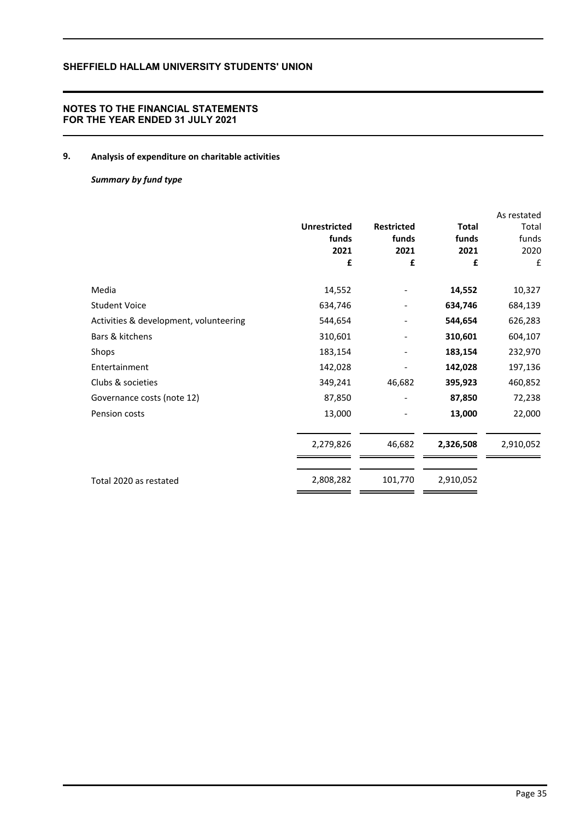## **NOTES TO THE FINANCIAL STATEMENTS FOR THE YEAR ENDED 31 JULY 2021**

# **9. Analysis of expenditure on charitable activities**

### *Summary by fund type*

|                                        |                     |                   |              | As restated |
|----------------------------------------|---------------------|-------------------|--------------|-------------|
|                                        | <b>Unrestricted</b> | <b>Restricted</b> | <b>Total</b> | Total       |
|                                        | funds               | funds             | funds        | funds       |
|                                        | 2021                | 2021              | 2021         | 2020        |
|                                        | £                   | £                 | £            | £           |
| Media                                  | 14,552              |                   | 14,552       | 10,327      |
| <b>Student Voice</b>                   | 634,746             |                   | 634,746      | 684,139     |
| Activities & development, volunteering | 544,654             |                   | 544,654      | 626,283     |
| Bars & kitchens                        | 310,601             |                   | 310,601      | 604,107     |
| Shops                                  | 183,154             |                   | 183,154      | 232,970     |
| Entertainment                          | 142,028             |                   | 142,028      | 197,136     |
| Clubs & societies                      | 349,241             | 46,682            | 395,923      | 460,852     |
| Governance costs (note 12)             | 87,850              |                   | 87,850       | 72,238      |
| Pension costs                          | 13,000              |                   | 13,000       | 22,000      |
|                                        | 2,279,826           | 46,682            | 2,326,508    | 2,910,052   |
|                                        |                     |                   |              |             |
| Total 2020 as restated                 | 2,808,282           | 101,770           | 2,910,052    |             |
|                                        |                     |                   |              |             |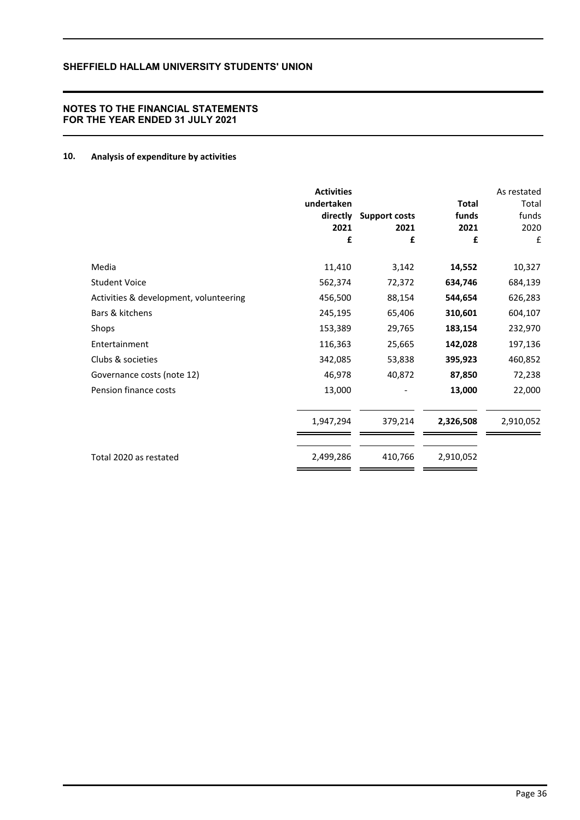# **10. Analysis of expenditure by activities**

|                                        | <b>Activities</b><br>undertaken<br>directly<br>2021<br>£ | <b>Support costs</b><br>2021<br>£ | <b>Total</b><br>funds<br>2021<br>£ | As restated<br>Total<br>funds<br>2020<br>£ |
|----------------------------------------|----------------------------------------------------------|-----------------------------------|------------------------------------|--------------------------------------------|
| Media                                  | 11,410                                                   | 3,142                             | 14,552                             | 10,327                                     |
| <b>Student Voice</b>                   | 562,374                                                  | 72,372                            | 634,746                            | 684,139                                    |
| Activities & development, volunteering | 456,500                                                  | 88,154                            | 544,654                            | 626,283                                    |
| Bars & kitchens                        | 245,195                                                  | 65,406                            | 310,601                            | 604,107                                    |
| Shops                                  | 153,389                                                  | 29,765                            | 183,154                            | 232,970                                    |
| Entertainment                          | 116,363                                                  | 25,665                            | 142,028                            | 197,136                                    |
| Clubs & societies                      | 342,085                                                  | 53,838                            | 395,923                            | 460,852                                    |
| Governance costs (note 12)             | 46,978                                                   | 40,872                            | 87,850                             | 72,238                                     |
| Pension finance costs                  | 13,000                                                   |                                   | 13,000                             | 22,000                                     |
|                                        | 1,947,294                                                | 379,214                           | 2,326,508                          | 2,910,052                                  |
| Total 2020 as restated                 | 2,499,286                                                | 410,766                           | 2,910,052                          |                                            |
|                                        |                                                          |                                   |                                    |                                            |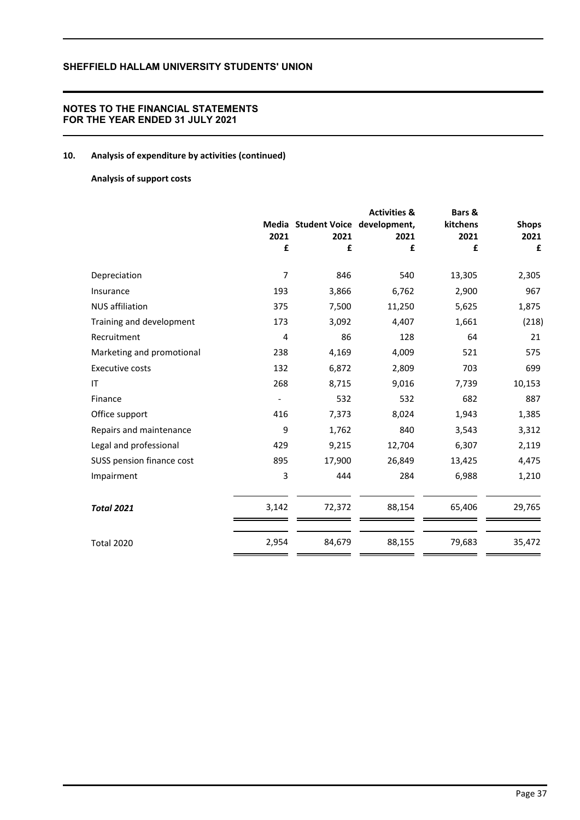## **NOTES TO THE FINANCIAL STATEMENTS FOR THE YEAR ENDED 31 JULY 2021**

# **10. Analysis of expenditure by activities (continued)**

## **Analysis of support costs**

|                           |       |                                  | <b>Activities &amp;</b> | Bars &   |              |
|---------------------------|-------|----------------------------------|-------------------------|----------|--------------|
|                           |       | Media Student Voice development, |                         | kitchens | <b>Shops</b> |
|                           | 2021  | 2021                             | 2021                    | 2021     | 2021         |
|                           | £     | £                                | £                       | £        | £            |
| Depreciation              | 7     | 846                              | 540                     | 13,305   | 2,305        |
| Insurance                 | 193   | 3,866                            | 6,762                   | 2,900    | 967          |
| <b>NUS</b> affiliation    | 375   | 7,500                            | 11,250                  | 5,625    | 1,875        |
| Training and development  | 173   | 3,092                            | 4,407                   | 1,661    | (218)        |
| Recruitment               | 4     | 86                               | 128                     | 64       | 21           |
| Marketing and promotional | 238   | 4,169                            | 4,009                   | 521      | 575          |
| Executive costs           | 132   | 6,872                            | 2,809                   | 703      | 699          |
| IT                        | 268   | 8,715                            | 9,016                   | 7,739    | 10,153       |
| Finance                   |       | 532                              | 532                     | 682      | 887          |
| Office support            | 416   | 7,373                            | 8,024                   | 1,943    | 1,385        |
| Repairs and maintenance   | 9     | 1,762                            | 840                     | 3,543    | 3,312        |
| Legal and professional    | 429   | 9,215                            | 12,704                  | 6,307    | 2,119        |
| SUSS pension finance cost | 895   | 17,900                           | 26,849                  | 13,425   | 4,475        |
| Impairment                | 3     | 444                              | 284                     | 6,988    | 1,210        |
| <b>Total 2021</b>         | 3,142 | 72,372                           | 88,154                  | 65,406   | 29,765       |
| <b>Total 2020</b>         | 2,954 | 84,679                           | 88,155                  | 79,683   | 35,472       |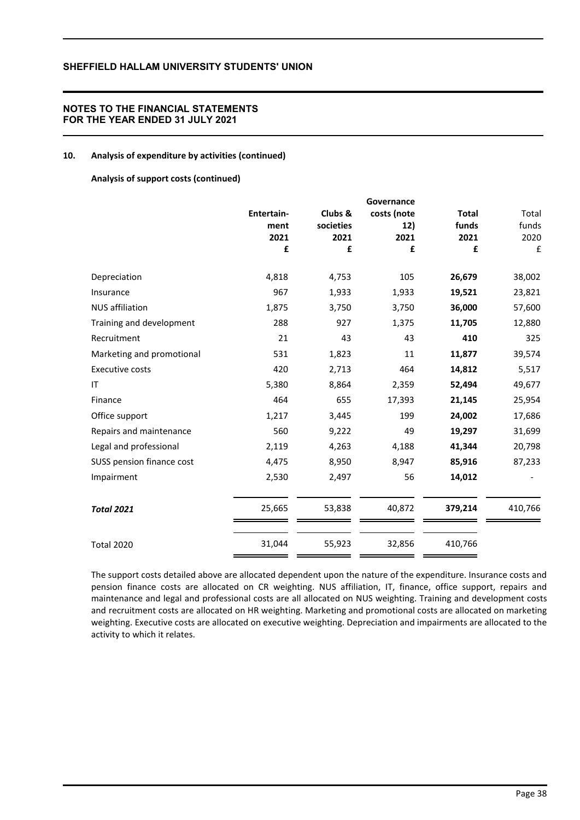## **NOTES TO THE FINANCIAL STATEMENTS FOR THE YEAR ENDED 31 JULY 2021**

### **10. Analysis of expenditure by activities (continued)**

### **Analysis of support costs (continued)**

|                           |            |           | Governance  |              |         |
|---------------------------|------------|-----------|-------------|--------------|---------|
|                           | Entertain- | Clubs &   | costs (note | <b>Total</b> | Total   |
|                           | ment       | societies | 12)         | funds        | funds   |
|                           | 2021       | 2021      | 2021        | 2021         | 2020    |
|                           | £          | £         | £           | £            | £       |
| Depreciation              | 4,818      | 4,753     | 105         | 26,679       | 38,002  |
| Insurance                 | 967        | 1,933     | 1,933       | 19,521       | 23,821  |
| <b>NUS</b> affiliation    | 1,875      | 3,750     | 3,750       | 36,000       | 57,600  |
| Training and development  | 288        | 927       | 1,375       | 11,705       | 12,880  |
| Recruitment               | 21         | 43        | 43          | 410          | 325     |
| Marketing and promotional | 531        | 1,823     | 11          | 11,877       | 39,574  |
| <b>Executive costs</b>    | 420        | 2,713     | 464         | 14,812       | 5,517   |
| IT                        | 5,380      | 8,864     | 2,359       | 52,494       | 49,677  |
| Finance                   | 464        | 655       | 17,393      | 21,145       | 25,954  |
| Office support            | 1,217      | 3,445     | 199         | 24,002       | 17,686  |
| Repairs and maintenance   | 560        | 9,222     | 49          | 19,297       | 31,699  |
| Legal and professional    | 2,119      | 4,263     | 4,188       | 41,344       | 20,798  |
| SUSS pension finance cost | 4,475      | 8,950     | 8,947       | 85,916       | 87,233  |
| Impairment                | 2,530      | 2,497     | 56          | 14,012       |         |
| <b>Total 2021</b>         | 25,665     | 53,838    | 40,872      | 379,214      | 410,766 |
| <b>Total 2020</b>         | 31,044     | 55,923    | 32,856      | 410,766      |         |

The support costs detailed above are allocated dependent upon the nature of the expenditure. Insurance costs and pension finance costs are allocated on CR weighting. NUS affiliation, IT, finance, office support, repairs and maintenance and legal and professional costs are all allocated on NUS weighting. Training and development costs and recruitment costs are allocated on HR weighting. Marketing and promotional costs are allocated on marketing weighting. Executive costs are allocated on executive weighting. Depreciation and impairments are allocated to the activity to which it relates.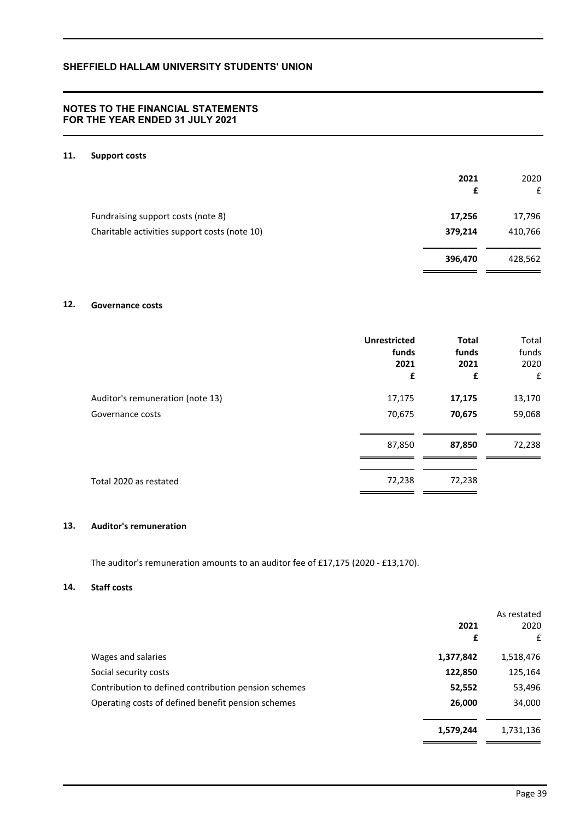## **NOTES TO THE FINANCIAL STATEMENTS FOR THE YEAR ENDED 31 JULY 2021**

### **11. Support costs**

|                                               | 2021<br>£ | 2020<br>£ |
|-----------------------------------------------|-----------|-----------|
| Fundraising support costs (note 8)            | 17,256    | 17,796    |
| Charitable activities support costs (note 10) | 379,214   | 410,766   |
|                                               | 396,470   | 428,562   |

# **12. Governance costs**

|                                  | <b>Unrestricted</b> | <b>Total</b> | Total  |
|----------------------------------|---------------------|--------------|--------|
|                                  | funds               | funds        | funds  |
|                                  | 2021                | 2021         | 2020   |
|                                  | £                   | £            | £      |
| Auditor's remuneration (note 13) | 17,175              | 17,175       | 13,170 |
| Governance costs                 | 70,675              | 70,675       | 59,068 |
|                                  | 87,850              | 87,850       | 72,238 |
| Total 2020 as restated           | 72,238              | 72,238       |        |

## **13. Auditor's remuneration**

The auditor's remuneration amounts to an auditor fee of £17,175 (2020 - £13,170).

### **14. Staff costs**

|                                                      | 2021<br>£ | As restated<br>2020<br>£ |
|------------------------------------------------------|-----------|--------------------------|
| Wages and salaries                                   | 1,377,842 | 1,518,476                |
| Social security costs                                | 122,850   | 125,164                  |
| Contribution to defined contribution pension schemes | 52,552    | 53,496                   |
| Operating costs of defined benefit pension schemes   | 26,000    | 34,000                   |
|                                                      | 1,579,244 | 1,731,136                |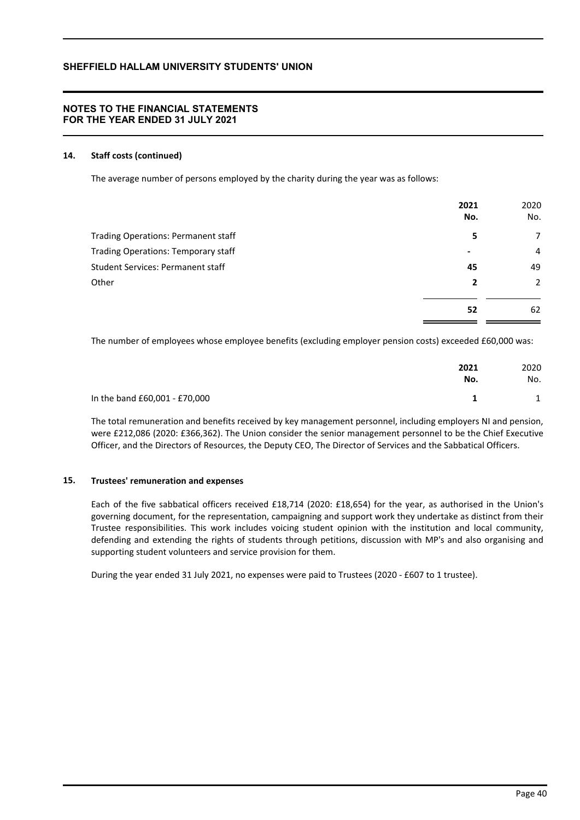## **NOTES TO THE FINANCIAL STATEMENTS FOR THE YEAR ENDED 31 JULY 2021**

### **14. Staff costs (continued)**

The average number of persons employed by the charity during the year was as follows:

|                                          | 2021<br>No. | 2020<br>No. |
|------------------------------------------|-------------|-------------|
| Trading Operations: Permanent staff      | 5           | 7           |
| Trading Operations: Temporary staff      | ۰           | 4           |
| <b>Student Services: Permanent staff</b> | 45          | 49          |
| Other                                    | 2           | 2           |
|                                          | 52          | 62          |

The number of employees whose employee benefits (excluding employer pension costs) exceeded £60,000 was:

|                               | 2021 | 2020 |
|-------------------------------|------|------|
|                               | No.  | No.  |
| In the band £60,001 - £70,000 |      | 1    |

The total remuneration and benefits received by key management personnel, including employers NI and pension, were £212,086 (2020: £366,362). The Union consider the senior management personnel to be the Chief Executive Officer, and the Directors of Resources, the Deputy CEO, The Director of Services and the Sabbatical Officers.

### **15. Trustees' remuneration and expenses**

Each of the five sabbatical officers received £18,714 (2020: £18,654) for the year, as authorised in the Union's governing document, for the representation, campaigning and support work they undertake as distinct from their Trustee responsibilities. This work includes voicing student opinion with the institution and local community, defending and extending the rights of students through petitions, discussion with MP's and also organising and supporting student volunteers and service provision for them.

During the year ended 31 July 2021, no expenses were paid to Trustees (2020 - £607 to 1 trustee).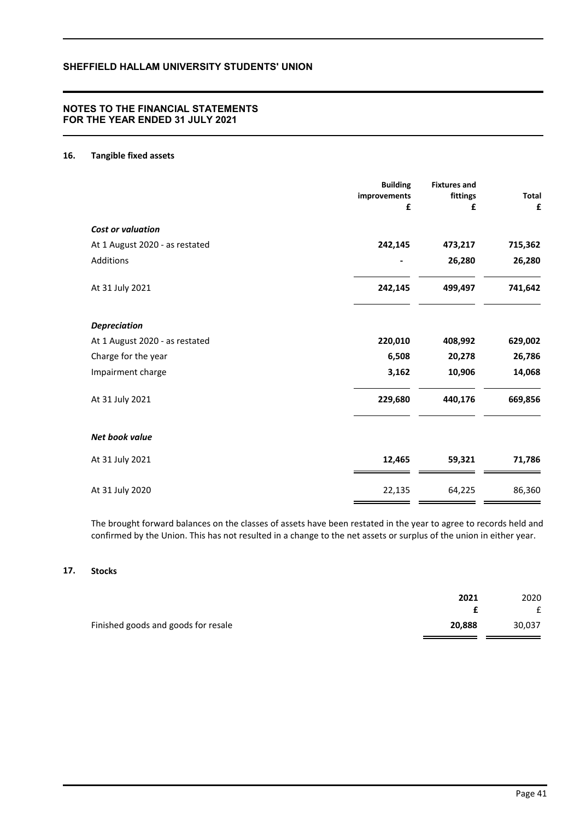## **NOTES TO THE FINANCIAL STATEMENTS FOR THE YEAR ENDED 31 JULY 2021**

### **16. Tangible fixed assets**

|                                | <b>Building</b><br>improvements<br>£ | <b>Fixtures and</b><br>fittings<br>£ | <b>Total</b><br>£ |
|--------------------------------|--------------------------------------|--------------------------------------|-------------------|
| <b>Cost or valuation</b>       |                                      |                                      |                   |
| At 1 August 2020 - as restated | 242,145                              | 473,217                              | 715,362           |
| Additions                      |                                      | 26,280                               | 26,280            |
| At 31 July 2021                | 242,145                              | 499,497                              | 741,642           |
| <b>Depreciation</b>            |                                      |                                      |                   |
| At 1 August 2020 - as restated | 220,010                              | 408,992                              | 629,002           |
| Charge for the year            | 6,508                                | 20,278                               | 26,786            |
| Impairment charge              | 3,162                                | 10,906                               | 14,068            |
| At 31 July 2021                | 229,680                              | 440,176                              | 669,856           |
| Net book value                 |                                      |                                      |                   |
| At 31 July 2021                | 12,465                               | 59,321                               | 71,786            |
| At 31 July 2020                | 22,135                               | 64,225                               | 86,360            |

The brought forward balances on the classes of assets have been restated in the year to agree to records held and confirmed by the Union. This has not resulted in a change to the net assets or surplus of the union in either year.

## **17. Stocks**

|                                     | 2021   | 2020   |
|-------------------------------------|--------|--------|
|                                     |        |        |
| Finished goods and goods for resale | 20,888 | 30.037 |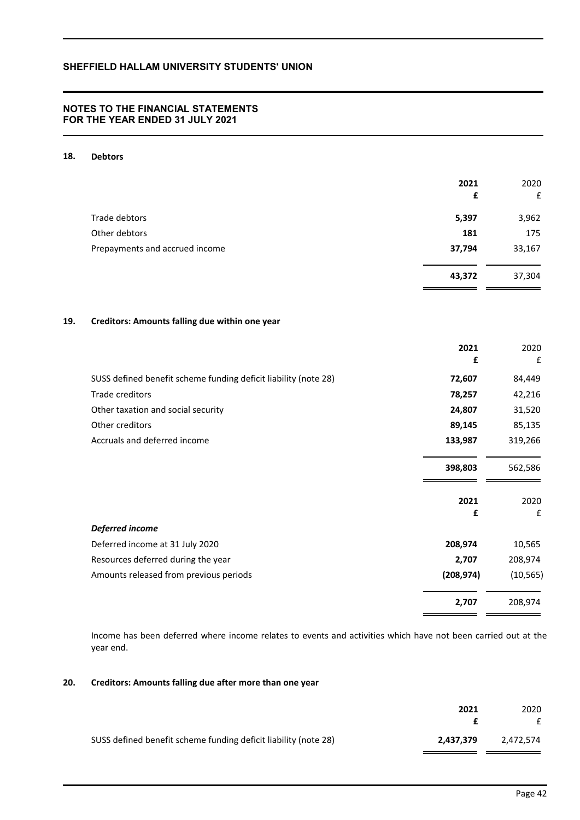## **NOTES TO THE FINANCIAL STATEMENTS FOR THE YEAR ENDED 31 JULY 2021**

### **18. Debtors**

|                                | 2021   | 2020   |
|--------------------------------|--------|--------|
|                                | £      | £      |
| Trade debtors                  | 5,397  | 3,962  |
| Other debtors                  | 181    | 175    |
| Prepayments and accrued income | 37,794 | 33,167 |
|                                | 43,372 | 37,304 |

### **19. Creditors: Amounts falling due within one year**

|                                                                 | 2021       | 2020      |
|-----------------------------------------------------------------|------------|-----------|
|                                                                 | £          | £         |
| SUSS defined benefit scheme funding deficit liability (note 28) | 72,607     | 84,449    |
| Trade creditors                                                 | 78,257     | 42,216    |
| Other taxation and social security                              | 24,807     | 31,520    |
| Other creditors                                                 | 89,145     | 85,135    |
| Accruals and deferred income                                    | 133,987    | 319,266   |
|                                                                 |            |           |
|                                                                 | 398,803    | 562,586   |
|                                                                 |            |           |
|                                                                 | 2021       | 2020      |
|                                                                 | £          | £         |
| Deferred income                                                 |            |           |
| Deferred income at 31 July 2020                                 | 208,974    | 10,565    |
| Resources deferred during the year                              | 2,707      | 208,974   |
| Amounts released from previous periods                          | (208, 974) | (10, 565) |
|                                                                 | 2,707      | 208,974   |

Income has been deferred where income relates to events and activities which have not been carried out at the year end.

### **20. Creditors: Amounts falling due after more than one year**

|                                                                 | 2021      | 2020      |
|-----------------------------------------------------------------|-----------|-----------|
|                                                                 |           | £         |
| SUSS defined benefit scheme funding deficit liability (note 28) | 2,437,379 | 2.472.574 |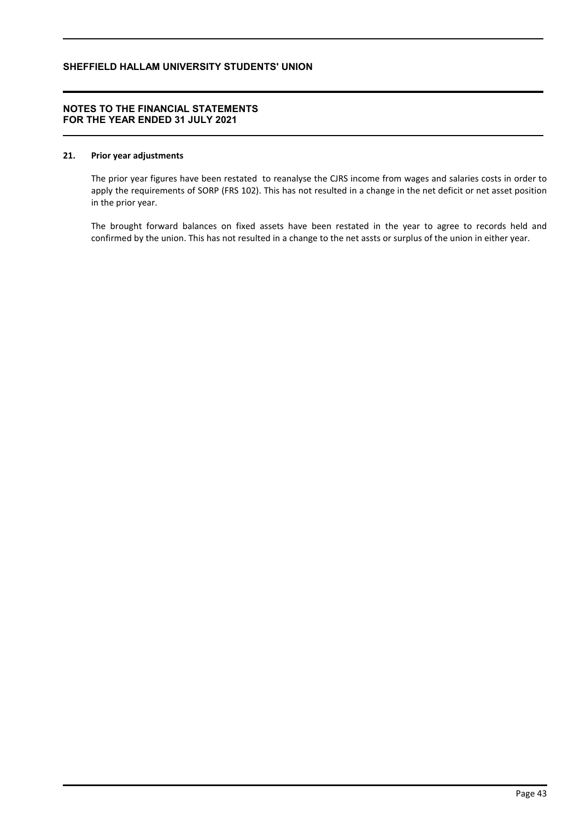## **NOTES TO THE FINANCIAL STATEMENTS FOR THE YEAR ENDED 31 JULY 2021**

### **21. Prior year adjustments**

The prior year figures have been restated to reanalyse the CJRS income from wages and salaries costs in order to apply the requirements of SORP (FRS 102). This has not resulted in a change in the net deficit or net asset position in the prior year.

The brought forward balances on fixed assets have been restated in the year to agree to records held and confirmed by the union. This has not resulted in a change to the net assts or surplus of the union in either year.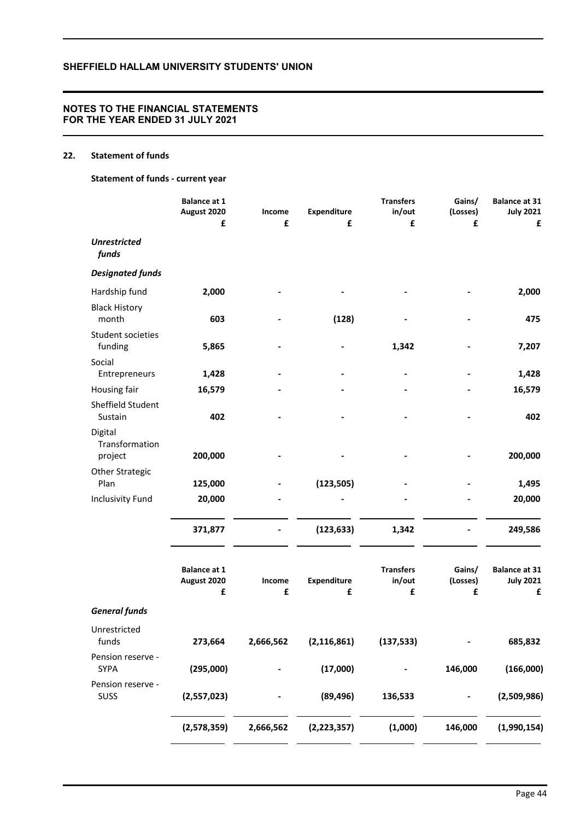## **NOTES TO THE FINANCIAL STATEMENTS FOR THE YEAR ENDED 31 JULY 2021**

# **22. Statement of funds**

**Statement of funds - current year**

|                                      | <b>Balance at 1</b><br>August 2020<br>£ | Income<br>£ | Expenditure<br>£ | <b>Transfers</b><br>in/out<br>£ | Gains/<br>(Losses)<br>£ | <b>Balance at 31</b><br><b>July 2021</b><br>£ |
|--------------------------------------|-----------------------------------------|-------------|------------------|---------------------------------|-------------------------|-----------------------------------------------|
| <b>Unrestricted</b><br>funds         |                                         |             |                  |                                 |                         |                                               |
| <b>Designated funds</b>              |                                         |             |                  |                                 |                         |                                               |
| Hardship fund                        | 2,000                                   |             |                  |                                 |                         | 2,000                                         |
| <b>Black History</b><br>month        | 603                                     |             | (128)            |                                 |                         | 475                                           |
| Student societies<br>funding         | 5,865                                   |             |                  | 1,342                           |                         | 7,207                                         |
| Social<br>Entrepreneurs              | 1,428                                   |             |                  |                                 |                         | 1,428                                         |
| Housing fair                         | 16,579                                  |             |                  |                                 |                         | 16,579                                        |
| Sheffield Student<br>Sustain         | 402                                     |             |                  |                                 |                         | 402                                           |
| Digital<br>Transformation<br>project | 200,000                                 |             |                  |                                 |                         | 200,000                                       |
| <b>Other Strategic</b><br>Plan       | 125,000                                 |             | (123, 505)       |                                 |                         | 1,495                                         |
| <b>Inclusivity Fund</b>              | 20,000                                  |             |                  |                                 |                         | 20,000                                        |
|                                      | 371,877                                 |             | (123, 633)       | 1,342                           |                         | 249,586                                       |
|                                      | <b>Balance at 1</b><br>August 2020<br>£ | Income<br>£ | Expenditure<br>£ | <b>Transfers</b><br>in/out<br>£ | Gains/<br>(Losses)<br>£ | <b>Balance at 31</b><br><b>July 2021</b><br>£ |
| <b>General funds</b>                 |                                         |             |                  |                                 |                         |                                               |
| Unrestricted<br>funds                | 273,664                                 | 2,666,562   | (2, 116, 861)    | (137, 533)                      |                         | 685,832                                       |
| Pension reserve -<br><b>SYPA</b>     | (295,000)                               |             | (17,000)         |                                 | 146,000                 | (166,000)                                     |
| Pension reserve -<br>SUSS            | (2,557,023)                             |             | (89, 496)        | 136,533                         |                         | (2,509,986)                                   |
|                                      | (2,578,359)                             | 2,666,562   | (2, 223, 357)    | (1,000)                         | 146,000                 | (1,990,154)                                   |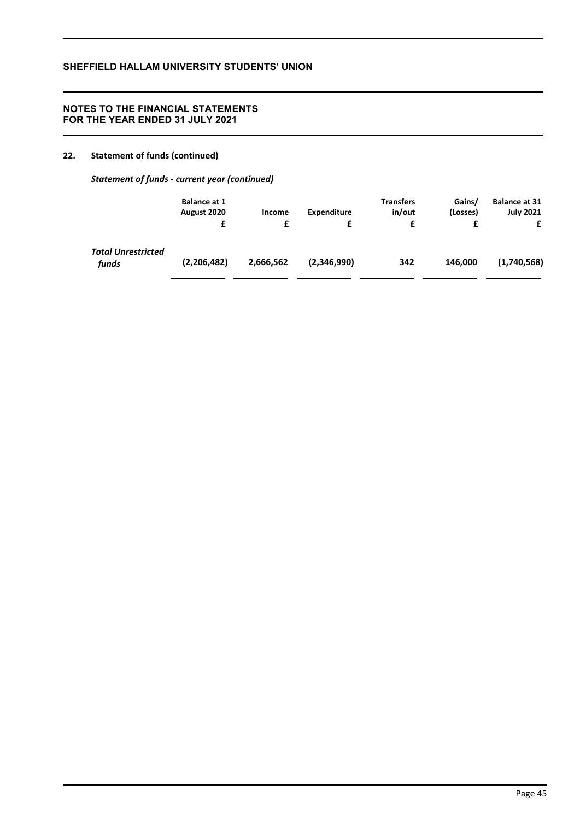## **NOTES TO THE FINANCIAL STATEMENTS FOR THE YEAR ENDED 31 JULY 2021**

## **22. Statement of funds (continued)**

*Statement of funds - current year (continued)*

|                                    | <b>Balance at 1</b><br>August 2020<br>£ | Income<br>£ | Expenditure<br>£ | <b>Transfers</b><br>in/out<br>£ | Gains/<br>(Losses)<br>£ | <b>Balance at 31</b><br><b>July 2021</b> |
|------------------------------------|-----------------------------------------|-------------|------------------|---------------------------------|-------------------------|------------------------------------------|
| <b>Total Unrestricted</b><br>funds | (2,206,482)                             | 2,666,562   | (2,346,990)      | 342                             | 146.000                 | (1,740,568)                              |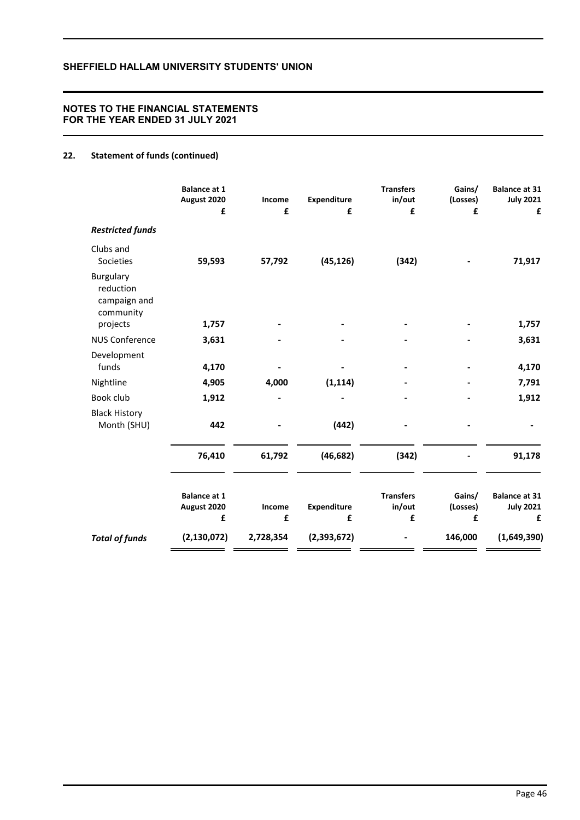## **NOTES TO THE FINANCIAL STATEMENTS FOR THE YEAR ENDED 31 JULY 2021**

# **22. Statement of funds (continued)**

|                                                     | <b>Balance at 1</b><br>August 2020<br>£ | Income<br>£ | Expenditure<br>£ | <b>Transfers</b><br>in/out<br>£ | Gains/<br>(Losses)<br>£ | <b>Balance at 31</b><br><b>July 2021</b><br>£ |
|-----------------------------------------------------|-----------------------------------------|-------------|------------------|---------------------------------|-------------------------|-----------------------------------------------|
| <b>Restricted funds</b>                             |                                         |             |                  |                                 |                         |                                               |
| Clubs and<br>Societies                              | 59,593                                  | 57,792      | (45, 126)        | (342)                           |                         | 71,917                                        |
| Burgulary<br>reduction<br>campaign and<br>community |                                         |             |                  |                                 |                         |                                               |
| projects                                            | 1,757                                   |             |                  |                                 |                         | 1,757                                         |
| <b>NUS Conference</b>                               | 3,631                                   |             |                  |                                 |                         | 3,631                                         |
| Development<br>funds                                | 4,170                                   |             |                  |                                 |                         | 4,170                                         |
| Nightline                                           | 4,905                                   | 4,000       | (1, 114)         |                                 |                         | 7,791                                         |
| Book club                                           | 1,912                                   |             |                  |                                 |                         | 1,912                                         |
| <b>Black History</b><br>Month (SHU)                 | 442                                     |             | (442)            |                                 |                         |                                               |
|                                                     | 76,410                                  | 61,792      | (46, 682)        | (342)                           |                         | 91,178                                        |
|                                                     | <b>Balance at 1</b><br>August 2020<br>£ | Income<br>£ | Expenditure<br>£ | <b>Transfers</b><br>in/out<br>£ | Gains/<br>(Losses)<br>£ | <b>Balance at 31</b><br><b>July 2021</b><br>£ |
| <b>Total of funds</b>                               | (2, 130, 072)                           | 2,728,354   | (2,393,672)      |                                 | 146,000                 | (1,649,390)                                   |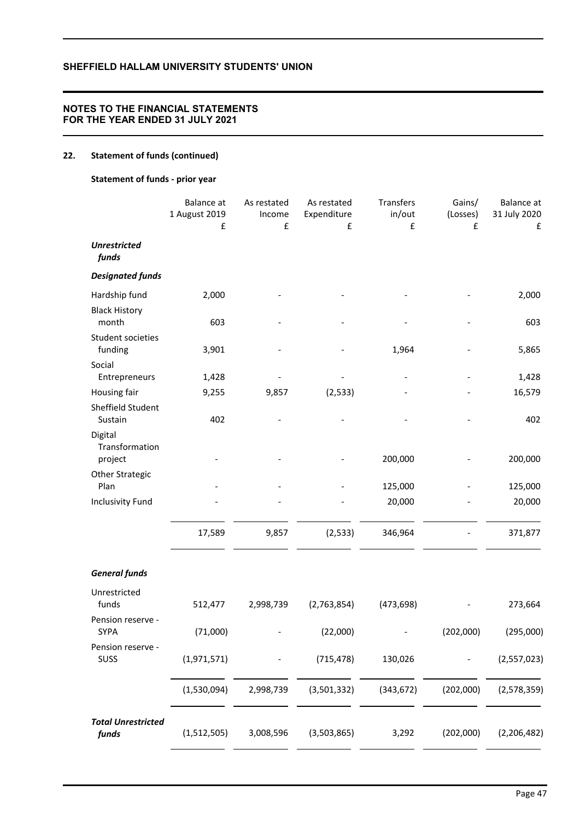## **NOTES TO THE FINANCIAL STATEMENTS FOR THE YEAR ENDED 31 JULY 2021**

# **22. Statement of funds (continued)**

## **Statement of funds - prior year**

|                                      | Balance at<br>1 August 2019<br>£ | As restated<br>Income<br>£ | As restated<br>Expenditure<br>£ | Transfers<br>in/out<br>£ | Gains/<br>(Losses)<br>£ | Balance at<br>31 July 2020<br>£ |
|--------------------------------------|----------------------------------|----------------------------|---------------------------------|--------------------------|-------------------------|---------------------------------|
| <b>Unrestricted</b><br>funds         |                                  |                            |                                 |                          |                         |                                 |
| <b>Designated funds</b>              |                                  |                            |                                 |                          |                         |                                 |
| Hardship fund                        | 2,000                            |                            |                                 |                          |                         | 2,000                           |
| <b>Black History</b><br>month        | 603                              |                            |                                 |                          |                         | 603                             |
| Student societies<br>funding         | 3,901                            |                            |                                 | 1,964                    |                         | 5,865                           |
| Social<br>Entrepreneurs              | 1,428                            |                            |                                 |                          |                         | 1,428                           |
| Housing fair                         | 9,255                            | 9,857                      | (2, 533)                        |                          |                         | 16,579                          |
| Sheffield Student<br>Sustain         | 402                              |                            |                                 |                          |                         | 402                             |
| Digital<br>Transformation<br>project |                                  |                            |                                 | 200,000                  |                         | 200,000                         |
| <b>Other Strategic</b><br>Plan       |                                  |                            |                                 | 125,000                  |                         | 125,000                         |
| <b>Inclusivity Fund</b>              |                                  |                            |                                 | 20,000                   |                         | 20,000                          |
|                                      | 17,589                           | 9,857                      | (2, 533)                        | 346,964                  |                         | 371,877                         |
| <b>General funds</b>                 |                                  |                            |                                 |                          |                         |                                 |
| Unrestricted<br>funds                | 512,477                          | 2,998,739                  | (2,763,854)                     | (473, 698)               |                         | 273,664                         |
| Pension reserve -<br>SYPA            | (71,000)                         |                            | (22,000)                        |                          | (202,000)               | (295,000)                       |
| Pension reserve -<br>SUSS            | (1,971,571)                      |                            | (715, 478)                      | 130,026                  |                         | (2,557,023)                     |
|                                      | (1,530,094)                      | 2,998,739                  | (3,501,332)                     | (343, 672)               | (202,000)               | (2,578,359)                     |
| <b>Total Unrestricted</b><br>funds   | (1,512,505)                      | 3,008,596                  | (3,503,865)                     | 3,292                    | (202,000)               | (2, 206, 482)                   |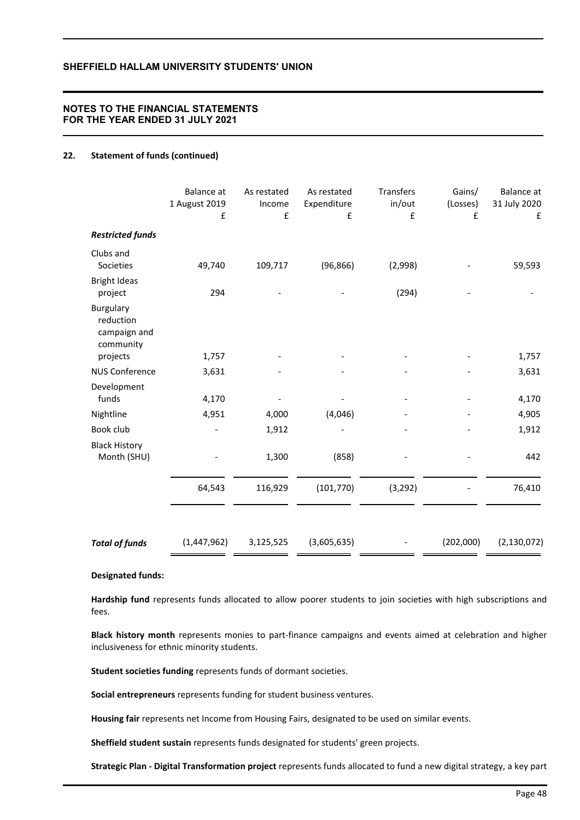## **NOTES TO THE FINANCIAL STATEMENTS FOR THE YEAR ENDED 31 JULY 2021**

### **22. Statement of funds (continued)**

|                                                                 | <b>Balance</b> at<br>1 August 2019<br>£ | As restated<br>Income<br>£ | As restated<br>Expenditure<br>£ | Transfers<br>in/out<br>£ | Gains/<br>(Losses)<br>f | Balance at<br>31 July 2020<br>£ |
|-----------------------------------------------------------------|-----------------------------------------|----------------------------|---------------------------------|--------------------------|-------------------------|---------------------------------|
| <b>Restricted funds</b>                                         |                                         |                            |                                 |                          |                         |                                 |
| Clubs and<br>Societies                                          | 49,740                                  | 109,717                    | (96, 866)                       | (2,998)                  |                         | 59,593                          |
| <b>Bright Ideas</b><br>project                                  | 294                                     |                            |                                 | (294)                    |                         |                                 |
| Burgulary<br>reduction<br>campaign and<br>community<br>projects | 1,757                                   |                            |                                 |                          |                         | 1,757                           |
| <b>NUS Conference</b>                                           | 3,631                                   |                            |                                 |                          |                         | 3,631                           |
| Development                                                     |                                         |                            |                                 |                          |                         |                                 |
| funds                                                           | 4,170                                   |                            |                                 |                          |                         | 4,170                           |
| Nightline                                                       | 4,951                                   | 4,000                      | (4,046)                         |                          |                         | 4,905                           |
| Book club                                                       |                                         | 1,912                      |                                 |                          |                         | 1,912                           |
| <b>Black History</b><br>Month (SHU)                             |                                         | 1,300                      | (858)                           |                          |                         | 442                             |
|                                                                 | 64,543                                  | 116,929                    | (101, 770)                      | (3, 292)                 |                         | 76,410                          |
|                                                                 |                                         |                            |                                 |                          |                         |                                 |
| <b>Total of funds</b>                                           | (1,447,962)                             | 3,125,525                  | (3,605,635)                     |                          | (202,000)               | (2, 130, 072)                   |

#### **Designated funds:**

**Hardship fund** represents funds allocated to allow poorer students to join societies with high subscriptions and fees.

**Black history month** represents monies to part-finance campaigns and events aimed at celebration and higher inclusiveness for ethnic minority students.

**Student societies funding** represents funds of dormant societies.

**Social entrepreneurs** represents funding for student business ventures.

**Housing fair** represents net Income from Housing Fairs, designated to be used on similar events.

**Sheffield student sustain** represents funds designated for students' green projects.

**Strategic Plan - Digital Transformation project** represents funds allocated to fund a new digital strategy, a key part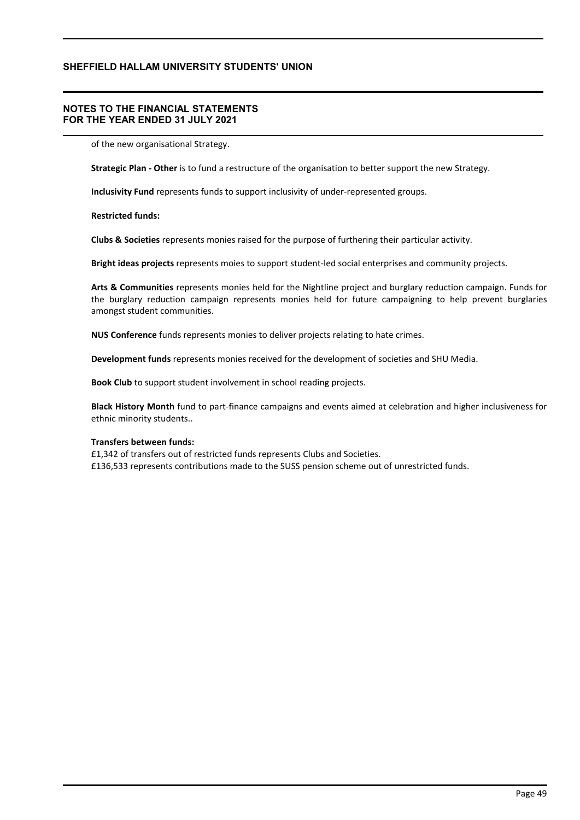## **NOTES TO THE FINANCIAL STATEMENTS FOR THE YEAR ENDED 31 JULY 2021**

of the new organisational Strategy.

**Strategic Plan - Other** is to fund a restructure of the organisation to better support the new Strategy.

**Inclusivity Fund** represents funds to support inclusivity of under-represented groups.

### **Restricted funds:**

**Clubs & Societies** represents monies raised for the purpose of furthering their particular activity.

**Bright ideas projects** represents moies to support student-led social enterprises and community projects.

**Arts & Communities** represents monies held for the Nightline project and burglary reduction campaign. Funds for the burglary reduction campaign represents monies held for future campaigning to help prevent burglaries amongst student communities.

**NUS Conference** funds represents monies to deliver projects relating to hate crimes.

**Development funds** represents monies received for the development of societies and SHU Media.

**Book Club** to support student involvement in school reading projects.

**Black History Month** fund to part-finance campaigns and events aimed at celebration and higher inclusiveness for ethnic minority students..

### **Transfers between funds:**

£1,342 of transfers out of restricted funds represents Clubs and Societies. £136,533 represents contributions made to the SUSS pension scheme out of unrestricted funds.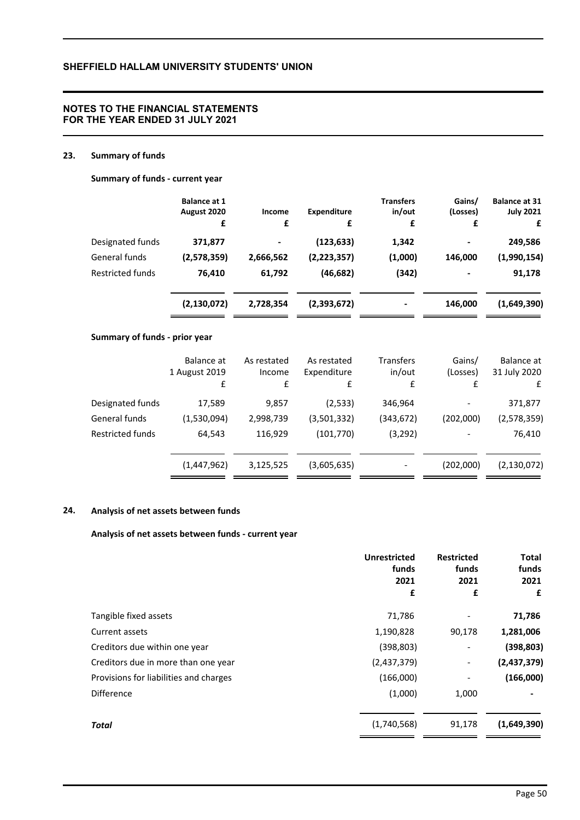## **NOTES TO THE FINANCIAL STATEMENTS FOR THE YEAR ENDED 31 JULY 2021**

## **23. Summary of funds**

## **Summary of funds - current year**

|                         | <b>Balance at 1</b><br>August 2020<br>£ | Income<br>£              | <b>Expenditure</b><br>£ | <b>Transfers</b><br>in/out<br>£ | Gains/<br>(Losses)<br>£ | <b>Balance at 31</b><br><b>July 2021</b><br>£ |
|-------------------------|-----------------------------------------|--------------------------|-------------------------|---------------------------------|-------------------------|-----------------------------------------------|
| Designated funds        | 371,877                                 | $\overline{\phantom{a}}$ | (123, 633)              | 1,342                           | $\blacksquare$          | 249,586                                       |
| General funds           | (2,578,359)                             | 2,666,562                | (2, 223, 357)           | (1,000)                         | 146,000                 | (1,990,154)                                   |
| <b>Restricted funds</b> | 76,410                                  | 61,792                   | (46, 682)               | (342)                           | $\blacksquare$          | 91,178                                        |
|                         | (2, 130, 072)                           | 2,728,354                | (2,393,672)             |                                 | 146,000                 | (1,649,390)                                   |

## **Summary of funds - prior year**

|                         | Balance at<br>1 August 2019<br>£ | As restated<br>Income<br>£ | As restated<br>Expenditure<br>£ | Transfers<br>in/out<br>f | Gains/<br>(Losses)<br>f | Balance at<br>31 July 2020<br>£ |
|-------------------------|----------------------------------|----------------------------|---------------------------------|--------------------------|-------------------------|---------------------------------|
| Designated funds        | 17,589                           | 9,857                      | (2,533)                         | 346,964                  |                         | 371,877                         |
| General funds           | (1,530,094)                      | 2,998,739                  | (3,501,332)                     | (343, 672)               | (202,000)               | (2,578,359)                     |
| <b>Restricted funds</b> | 64,543                           | 116,929                    | (101,770)                       | (3,292)                  |                         | 76,410                          |
|                         | (1,447,962)                      | 3,125,525                  | (3,605,635)                     |                          | (202,000)               | (2, 130, 072)                   |

# **24. Analysis of net assets between funds**

### **Analysis of net assets between funds - current year**

|                                        | <b>Unrestricted</b><br>funds<br>2021 | <b>Restricted</b><br>funds<br>2021 |             |  |  | Total<br>funds<br>2021 |
|----------------------------------------|--------------------------------------|------------------------------------|-------------|--|--|------------------------|
|                                        | £                                    | £                                  | £           |  |  |                        |
| Tangible fixed assets                  | 71,786                               |                                    | 71,786      |  |  |                        |
| Current assets                         | 1,190,828                            | 90,178                             | 1,281,006   |  |  |                        |
| Creditors due within one year          | (398, 803)                           | ٠                                  | (398, 803)  |  |  |                        |
| Creditors due in more than one year    | (2,437,379)                          | -                                  | (2,437,379) |  |  |                        |
| Provisions for liabilities and charges | (166,000)                            |                                    | (166,000)   |  |  |                        |
| <b>Difference</b>                      | (1,000)                              | 1,000                              |             |  |  |                        |
| <b>Total</b>                           | (1,740,568)                          | 91,178                             | (1,649,390) |  |  |                        |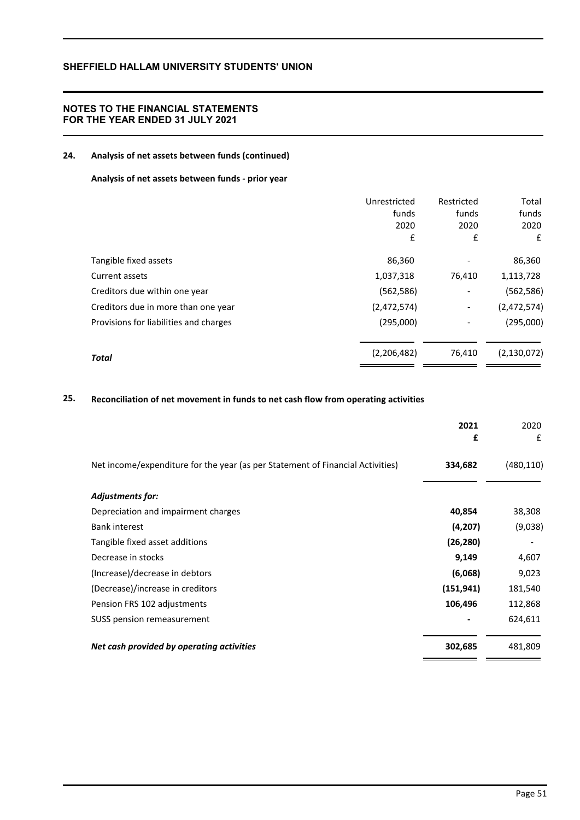## **NOTES TO THE FINANCIAL STATEMENTS FOR THE YEAR ENDED 31 JULY 2021**

# **24. Analysis of net assets between funds (continued)**

## **Analysis of net assets between funds - prior year**

|                                        | Unrestricted<br>funds<br>2020<br>£ | Restricted<br>funds<br>2020<br>£ | Total<br>funds<br>2020<br>£ |
|----------------------------------------|------------------------------------|----------------------------------|-----------------------------|
| Tangible fixed assets                  | 86,360                             |                                  | 86,360                      |
| Current assets                         | 1,037,318                          | 76,410                           | 1,113,728                   |
| Creditors due within one year          | (562, 586)                         | -                                | (562, 586)                  |
| Creditors due in more than one year    | (2,472,574)                        | $\overline{\phantom{a}}$         | (2,472,574)                 |
| Provisions for liabilities and charges | (295,000)                          | $\overline{a}$                   | (295,000)                   |
| <b>Total</b>                           | (2,206,482)                        | 76,410                           | (2, 130, 072)               |

## **25. Reconciliation of net movement in funds to net cash flow from operating activities**

|                                                                                | 2021<br>£  | 2020<br>£  |
|--------------------------------------------------------------------------------|------------|------------|
| Net income/expenditure for the year (as per Statement of Financial Activities) | 334,682    | (480, 110) |
| <b>Adjustments for:</b>                                                        |            |            |
| Depreciation and impairment charges                                            | 40,854     | 38,308     |
| <b>Bank interest</b>                                                           | (4,207)    | (9,038)    |
| Tangible fixed asset additions                                                 | (26, 280)  |            |
| Decrease in stocks                                                             | 9,149      | 4,607      |
| (Increase)/decrease in debtors                                                 | (6,068)    | 9,023      |
| (Decrease)/increase in creditors                                               | (151, 941) | 181,540    |
| Pension FRS 102 adjustments                                                    | 106,496    | 112,868    |
| SUSS pension remeasurement                                                     |            | 624,611    |
| Net cash provided by operating activities                                      | 302,685    | 481,809    |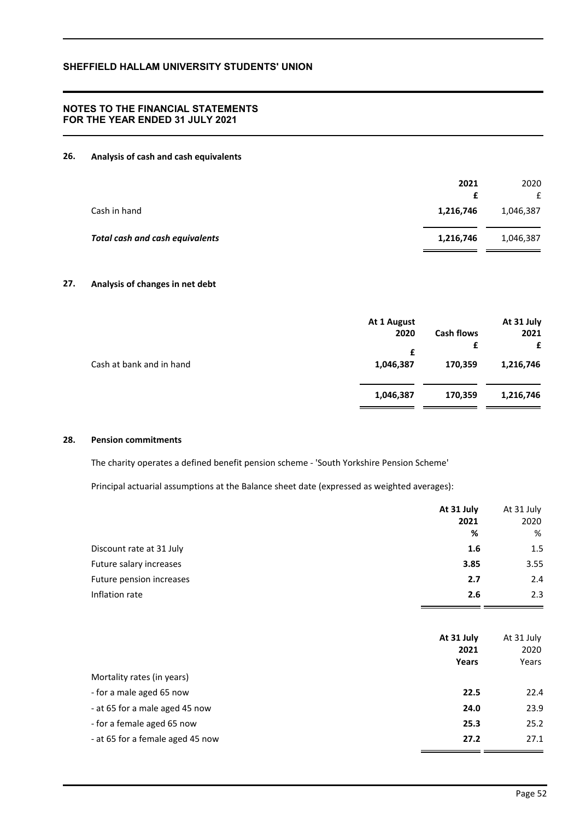## **NOTES TO THE FINANCIAL STATEMENTS FOR THE YEAR ENDED 31 JULY 2021**

## **26. Analysis of cash and cash equivalents**

|                                        | 2021      | 2020<br>£ |
|----------------------------------------|-----------|-----------|
| Cash in hand                           | 1,216,746 | 1,046,387 |
| <b>Total cash and cash equivalents</b> | 1,216,746 | 1,046,387 |

# **27. Analysis of changes in net debt**

|                          | At 1 August<br>2020<br>£ | <b>Cash flows</b><br>£ | At 31 July<br>2021<br>£ |
|--------------------------|--------------------------|------------------------|-------------------------|
| Cash at bank and in hand | 1,046,387                | 170,359                | 1,216,746               |
|                          | 1,046,387                | 170,359                | 1,216,746               |

#### **28. Pension commitments**

The charity operates a defined benefit pension scheme - 'South Yorkshire Pension Scheme'

Principal actuarial assumptions at the Balance sheet date (expressed as weighted averages):

|                          | At 31 July | At 31 July |
|--------------------------|------------|------------|
|                          | 2021       | 2020       |
|                          | %          | %          |
| Discount rate at 31 July | 1.6        | 1.5        |
| Future salary increases  | 3.85       | 3.55       |
| Future pension increases | 2.7        | 2.4        |
| Inflation rate           | 2.6        | 2.3        |
|                          |            |            |

|                                  | At 31 July<br>2021<br>Years | At 31 July<br>2020<br>Years |
|----------------------------------|-----------------------------|-----------------------------|
| Mortality rates (in years)       |                             |                             |
| - for a male aged 65 now         | 22.5                        | 22.4                        |
| - at 65 for a male aged 45 now   | 24.0                        | 23.9                        |
| - for a female aged 65 now       | 25.3                        | 25.2                        |
| - at 65 for a female aged 45 now | 27.2                        | 27.1                        |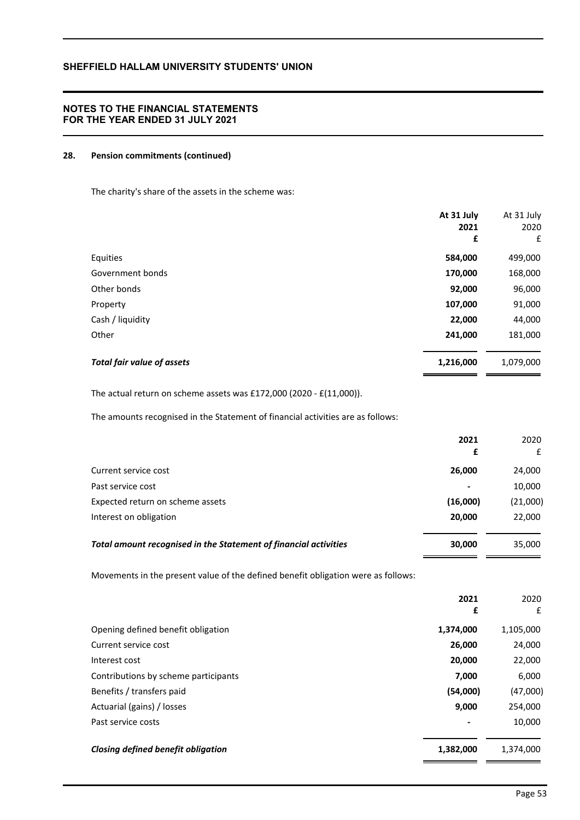## **NOTES TO THE FINANCIAL STATEMENTS FOR THE YEAR ENDED 31 JULY 2021**

## **28. Pension commitments (continued)**

The charity's share of the assets in the scheme was:

|                                   | At 31 July<br>2021<br>£ | At 31 July<br>2020<br>£ |
|-----------------------------------|-------------------------|-------------------------|
| Equities                          | 584,000                 | 499,000                 |
| Government bonds                  | 170,000                 | 168,000                 |
| Other bonds                       | 92,000                  | 96,000                  |
| Property                          | 107,000                 | 91,000                  |
| Cash / liquidity                  | 22,000                  | 44,000                  |
| Other                             | 241,000                 | 181,000                 |
| <b>Total fair value of assets</b> | 1,216,000               | 1,079,000               |

The actual return on scheme assets was £172,000 (2020 - £(11,000)).

The amounts recognised in the Statement of financial activities are as follows:

|                                                                  | 2021<br>£                | 2020<br>£ |
|------------------------------------------------------------------|--------------------------|-----------|
| Current service cost                                             | 26,000                   | 24,000    |
| Past service cost                                                | $\overline{\phantom{a}}$ | 10,000    |
| Expected return on scheme assets                                 | (16,000)                 | (21,000)  |
| Interest on obligation                                           | 20,000                   | 22,000    |
| Total amount recognised in the Statement of financial activities | 30,000                   | 35,000    |

Movements in the present value of the defined benefit obligation were as follows:

|                                           | 2021<br>£                | 2020<br>£ |
|-------------------------------------------|--------------------------|-----------|
| Opening defined benefit obligation        | 1,374,000                | 1,105,000 |
| Current service cost                      | 26,000                   | 24,000    |
| Interest cost                             | 20,000                   | 22,000    |
| Contributions by scheme participants      | 7,000                    | 6,000     |
| Benefits / transfers paid                 | (54,000)                 | (47,000)  |
| Actuarial (gains) / losses                | 9,000                    | 254,000   |
| Past service costs                        | $\overline{\phantom{a}}$ | 10,000    |
| <b>Closing defined benefit obligation</b> | 1,382,000                | 1,374,000 |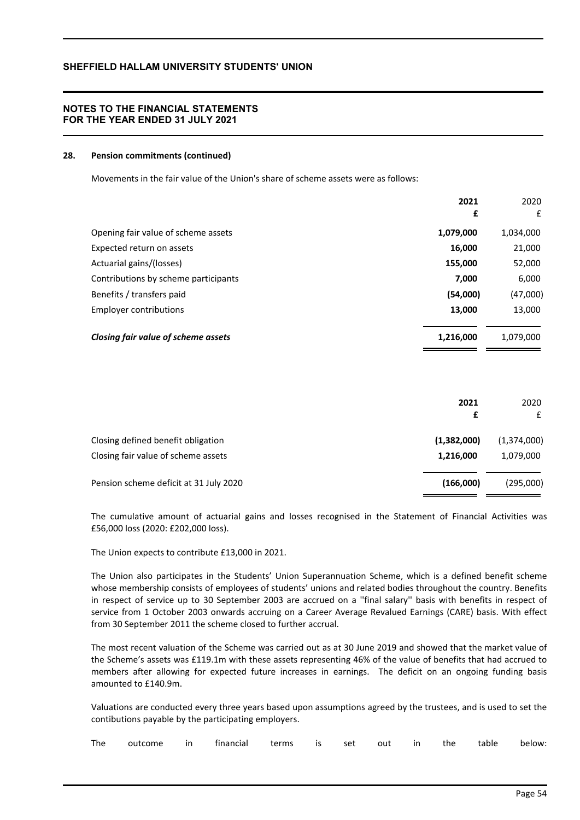## **NOTES TO THE FINANCIAL STATEMENTS FOR THE YEAR ENDED 31 JULY 2021**

#### **28. Pension commitments (continued)**

Movements in the fair value of the Union's share of scheme assets were as follows:

|                                      | 2021      | 2020      |
|--------------------------------------|-----------|-----------|
|                                      | £         | £         |
| Opening fair value of scheme assets  | 1,079,000 | 1,034,000 |
| Expected return on assets            | 16,000    | 21,000    |
| Actuarial gains/(losses)             | 155,000   | 52,000    |
| Contributions by scheme participants | 7,000     | 6,000     |
| Benefits / transfers paid            | (54,000)  | (47,000)  |
| <b>Employer contributions</b>        | 13,000    | 13,000    |
| Closing fair value of scheme assets  | 1,216,000 | 1,079,000 |

|                                        | 2021<br>£   | 2020<br>£   |
|----------------------------------------|-------------|-------------|
| Closing defined benefit obligation     | (1,382,000) | (1,374,000) |
| Closing fair value of scheme assets    | 1,216,000   | 1,079,000   |
| Pension scheme deficit at 31 July 2020 | (166,000)   | (295,000)   |

The cumulative amount of actuarial gains and losses recognised in the Statement of Financial Activities was £56,000 loss (2020: £202,000 loss).

The Union expects to contribute £13,000 in 2021.

The Union also participates in the Students' Union Superannuation Scheme, which is a defined benefit scheme whose membership consists of employees of students' unions and related bodies throughout the country. Benefits in respect of service up to 30 September 2003 are accrued on a ''final salary'' basis with benefits in respect of service from 1 October 2003 onwards accruing on a Career Average Revalued Earnings (CARE) basis. With effect from 30 September 2011 the scheme closed to further accrual.

The most recent valuation of the Scheme was carried out as at 30 June 2019 and showed that the market value of the Scheme's assets was £119.1m with these assets representing 46% of the value of benefits that had accrued to members after allowing for expected future increases in earnings. The deficit on an ongoing funding basis amounted to £140.9m.

Valuations are conducted every three years based upon assumptions agreed by the trustees, and is used to set the contibutions payable by the participating employers.

|  |  |  | The outcome in financial terms is set out in the table below: |  |  |  |  |  |  |  |  |
|--|--|--|---------------------------------------------------------------|--|--|--|--|--|--|--|--|
|--|--|--|---------------------------------------------------------------|--|--|--|--|--|--|--|--|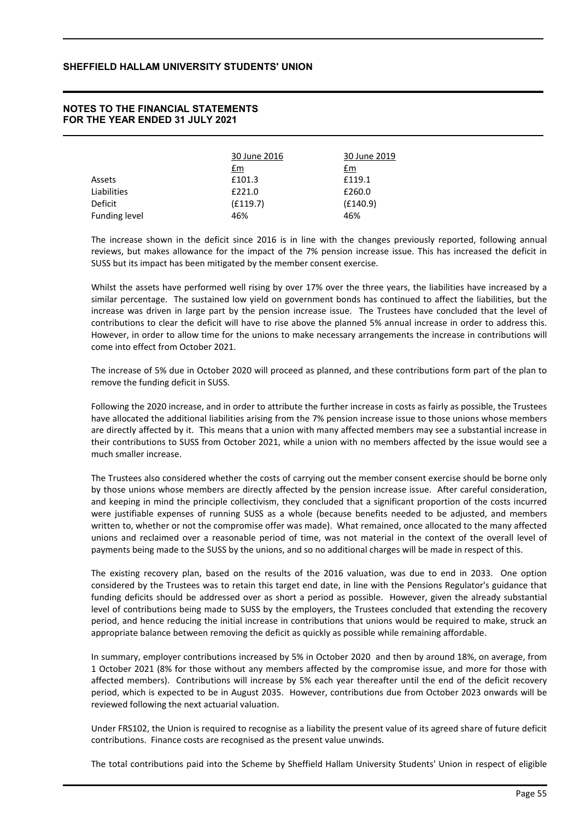## **NOTES TO THE FINANCIAL STATEMENTS FOR THE YEAR ENDED 31 JULY 2021**

|                      | 30 June 2016 | 30 June 2019 |  |  |
|----------------------|--------------|--------------|--|--|
|                      | £m           | <u>£m</u>    |  |  |
| Assets               | £101.3       | £119.1       |  |  |
| Liabilities          | £221.0       | £260.0       |  |  |
| Deficit              | (E119.7)     | (E140.9)     |  |  |
| <b>Funding level</b> | 46%          | 46%          |  |  |

The increase shown in the deficit since 2016 is in line with the changes previously reported, following annual reviews, but makes allowance for the impact of the 7% pension increase issue. This has increased the deficit in SUSS but its impact has been mitigated by the member consent exercise.

Whilst the assets have performed well rising by over 17% over the three years, the liabilities have increased by a similar percentage. The sustained low yield on government bonds has continued to affect the liabilities, but the increase was driven in large part by the pension increase issue. The Trustees have concluded that the level of contributions to clear the deficit will have to rise above the planned 5% annual increase in order to address this. However, in order to allow time for the unions to make necessary arrangements the increase in contributions will come into effect from October 2021.

The increase of 5% due in October 2020 will proceed as planned, and these contributions form part of the plan to remove the funding deficit in SUSS.

Following the 2020 increase, and in order to attribute the further increase in costs as fairly as possible, the Trustees have allocated the additional liabilities arising from the 7% pension increase issue to those unions whose members are directly affected by it. This means that a union with many affected members may see a substantial increase in their contributions to SUSS from October 2021, while a union with no members affected by the issue would see a much smaller increase.

The Trustees also considered whether the costs of carrying out the member consent exercise should be borne only by those unions whose members are directly affected by the pension increase issue. After careful consideration, and keeping in mind the principle collectivism, they concluded that a significant proportion of the costs incurred were justifiable expenses of running SUSS as a whole (because benefits needed to be adjusted, and members written to, whether or not the compromise offer was made). What remained, once allocated to the many affected unions and reclaimed over a reasonable period of time, was not material in the context of the overall level of payments being made to the SUSS by the unions, and so no additional charges will be made in respect of this.

The existing recovery plan, based on the results of the 2016 valuation, was due to end in 2033. One option considered by the Trustees was to retain this target end date, in line with the Pensions Regulator's guidance that funding deficits should be addressed over as short a period as possible. However, given the already substantial level of contributions being made to SUSS by the employers, the Trustees concluded that extending the recovery period, and hence reducing the initial increase in contributions that unions would be required to make, struck an appropriate balance between removing the deficit as quickly as possible while remaining affordable.

In summary, employer contributions increased by 5% in October 2020 and then by around 18%, on average, from 1 October 2021 (8% for those without any members affected by the compromise issue, and more for those with affected members). Contributions will increase by 5% each year thereafter until the end of the deficit recovery period, which is expected to be in August 2035. However, contributions due from October 2023 onwards will be reviewed following the next actuarial valuation.

Under FRS102, the Union is required to recognise as a liability the present value of its agreed share of future deficit contributions. Finance costs are recognised as the present value unwinds.

The total contributions paid into the Scheme by Sheffield Hallam University Students' Union in respect of eligible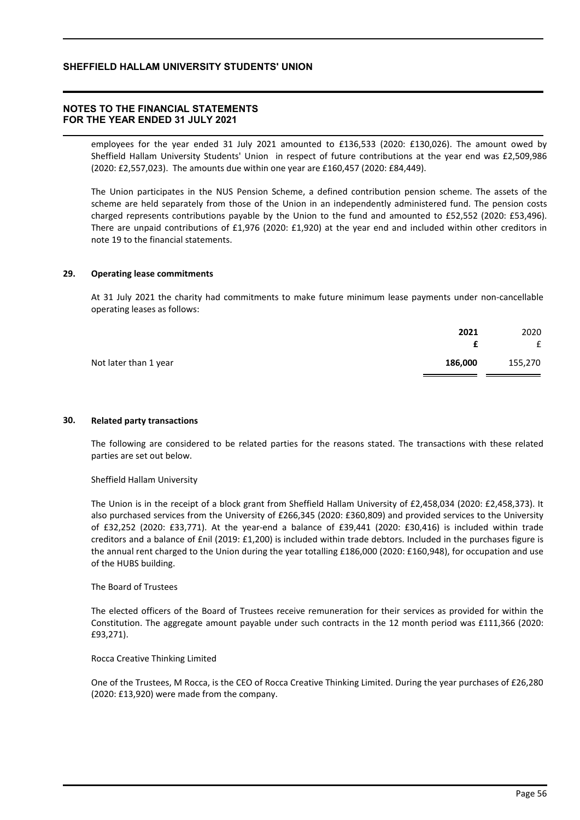## **NOTES TO THE FINANCIAL STATEMENTS FOR THE YEAR ENDED 31 JULY 2021**

employees for the year ended 31 July 2021 amounted to £136,533 (2020: £130,026). The amount owed by Sheffield Hallam University Students' Union in respect of future contributions at the year end was £2,509,986 (2020: £2,557,023). The amounts due within one year are £160,457 (2020: £84,449).

The Union participates in the NUS Pension Scheme, a defined contribution pension scheme. The assets of the scheme are held separately from those of the Union in an independently administered fund. The pension costs charged represents contributions payable by the Union to the fund and amounted to £52,552 (2020: £53,496). There are unpaid contributions of £1,976 (2020: £1,920) at the year end and included within other creditors in note 19 to the financial statements.

### **29. Operating lease commitments**

At 31 July 2021 the charity had commitments to make future minimum lease payments under non-cancellable operating leases as follows:

|                       | 2021    | 2020<br>£ |
|-----------------------|---------|-----------|
| Not later than 1 year | 186,000 | 155,270   |

### **30. Related party transactions**

The following are considered to be related parties for the reasons stated. The transactions with these related parties are set out below.

#### Sheffield Hallam University

The Union is in the receipt of a block grant from Sheffield Hallam University of £2,458,034 (2020: £2,458,373). It also purchased services from the University of £266,345 (2020: £360,809) and provided services to the University of £32,252 (2020: £33,771). At the year-end a balance of £39,441 (2020: £30,416) is included within trade creditors and a balance of £nil (2019: £1,200) is included within trade debtors. Included in the purchases figure is the annual rent charged to the Union during the year totalling £186,000 (2020: £160,948), for occupation and use of the HUBS building.

#### The Board of Trustees

The elected officers of the Board of Trustees receive remuneration for their services as provided for within the Constitution. The aggregate amount payable under such contracts in the 12 month period was £111,366 (2020: £93,271).

#### Rocca Creative Thinking Limited

One of the Trustees, M Rocca, is the CEO of Rocca Creative Thinking Limited. During the year purchases of £26,280 (2020: £13,920) were made from the company.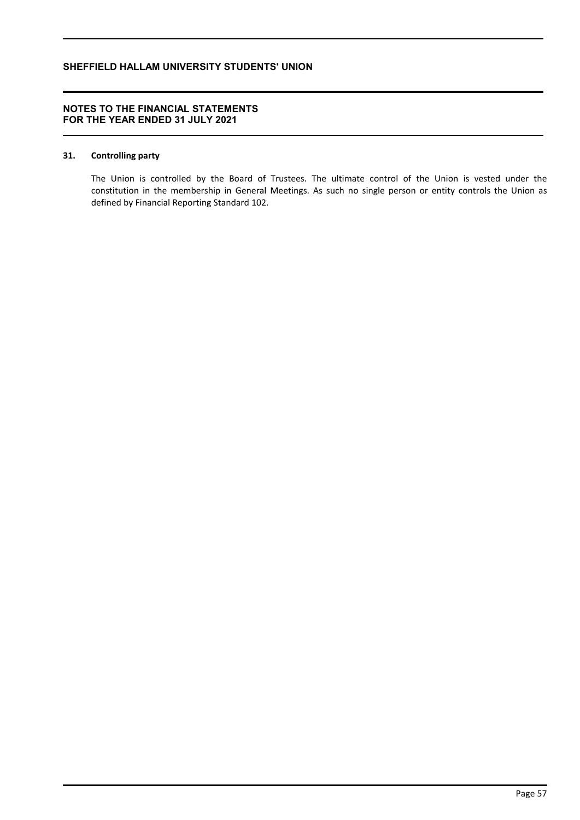## **NOTES TO THE FINANCIAL STATEMENTS FOR THE YEAR ENDED 31 JULY 2021**

### **31. Controlling party**

The Union is controlled by the Board of Trustees. The ultimate control of the Union is vested under the constitution in the membership in General Meetings. As such no single person or entity controls the Union as defined by Financial Reporting Standard 102.